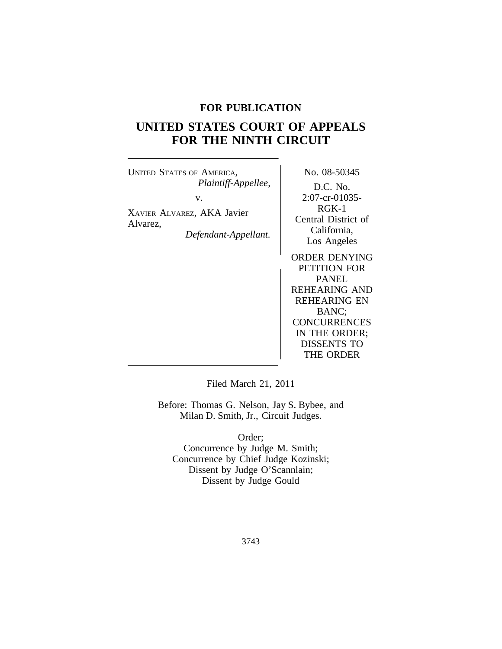# **FOR PUBLICATION**

# **UNITED STATES COURT OF APPEALS FOR THE NINTH CIRCUIT**

UNITED STATES OF AMERICA, No. 08-50345 *Plaintiff-Appellee,* D.C. No. v. 2:07-cr-01035-RGK-1 XAVIER ALVAREZ, AKA Javier EUREAL CENTREL, THEF VALUE Central District of<br>Central District of<br>California, Defendant-Appellant.

Los Angeles

ORDER DENYING PETITION FOR PANEL REHEARING AND REHEARING EN BANC; **CONCURRENCES** IN THE ORDER; DISSENTS TO THE ORDER

Filed March 21, 2011

Before: Thomas G. Nelson, Jay S. Bybee, and Milan D. Smith, Jr., Circuit Judges.

Order; Concurrence by Judge M. Smith; Concurrence by Chief Judge Kozinski; Dissent by Judge O'Scannlain; Dissent by Judge Gould

3743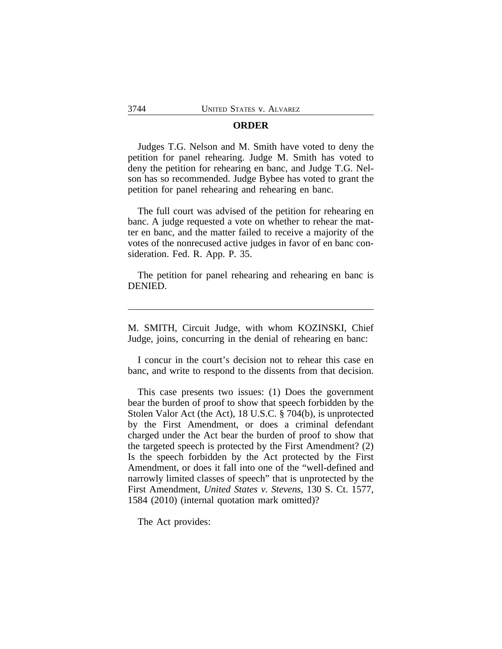### **ORDER**

Judges T.G. Nelson and M. Smith have voted to deny the petition for panel rehearing. Judge M. Smith has voted to deny the petition for rehearing en banc, and Judge T.G. Nelson has so recommended. Judge Bybee has voted to grant the petition for panel rehearing and rehearing en banc.

The full court was advised of the petition for rehearing en banc. A judge requested a vote on whether to rehear the matter en banc, and the matter failed to receive a majority of the votes of the nonrecused active judges in favor of en banc consideration. Fed. R. App. P. 35.

The petition for panel rehearing and rehearing en banc is DENIED.

M. SMITH, Circuit Judge, with whom KOZINSKI, Chief Judge, joins, concurring in the denial of rehearing en banc:

I concur in the court's decision not to rehear this case en banc, and write to respond to the dissents from that decision.

This case presents two issues: (1) Does the government bear the burden of proof to show that speech forbidden by the Stolen Valor Act (the Act), 18 U.S.C. § 704(b), is unprotected by the First Amendment, or does a criminal defendant charged under the Act bear the burden of proof to show that the targeted speech is protected by the First Amendment? (2) Is the speech forbidden by the Act protected by the First Amendment, or does it fall into one of the "well-defined and narrowly limited classes of speech" that is unprotected by the First Amendment, *United States v. Stevens*, 130 S. Ct. 1577, 1584 (2010) (internal quotation mark omitted)?

The Act provides: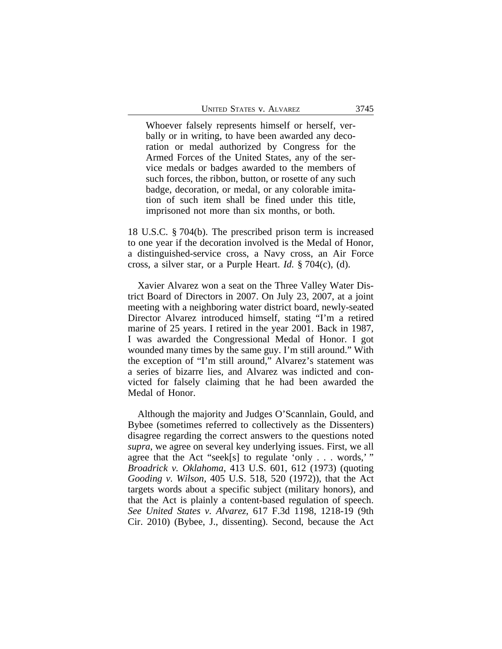Whoever falsely represents himself or herself, verbally or in writing, to have been awarded any decoration or medal authorized by Congress for the Armed Forces of the United States, any of the service medals or badges awarded to the members of such forces, the ribbon, button, or rosette of any such badge, decoration, or medal, or any colorable imitation of such item shall be fined under this title, imprisoned not more than six months, or both.

18 U.S.C. § 704(b). The prescribed prison term is increased to one year if the decoration involved is the Medal of Honor, a distinguished-service cross, a Navy cross, an Air Force cross, a silver star, or a Purple Heart. *Id.* § 704(c), (d).

Xavier Alvarez won a seat on the Three Valley Water District Board of Directors in 2007. On July 23, 2007, at a joint meeting with a neighboring water district board, newly-seated Director Alvarez introduced himself, stating "I'm a retired marine of 25 years. I retired in the year 2001. Back in 1987, I was awarded the Congressional Medal of Honor. I got wounded many times by the same guy. I'm still around." With the exception of "I'm still around," Alvarez's statement was a series of bizarre lies, and Alvarez was indicted and convicted for falsely claiming that he had been awarded the Medal of Honor.

Although the majority and Judges O'Scannlain, Gould, and Bybee (sometimes referred to collectively as the Dissenters) disagree regarding the correct answers to the questions noted *supra*, we agree on several key underlying issues. First, we all agree that the Act "seek[s] to regulate 'only  $\ldots$  words,' " *Broadrick v. Oklahoma*, 413 U.S. 601, 612 (1973) (quoting *Gooding v. Wilson*, 405 U.S. 518, 520 (1972)), that the Act targets words about a specific subject (military honors), and that the Act is plainly a content-based regulation of speech. *See United States v. Alvarez*, 617 F.3d 1198, 1218-19 (9th Cir. 2010) (Bybee, J., dissenting). Second, because the Act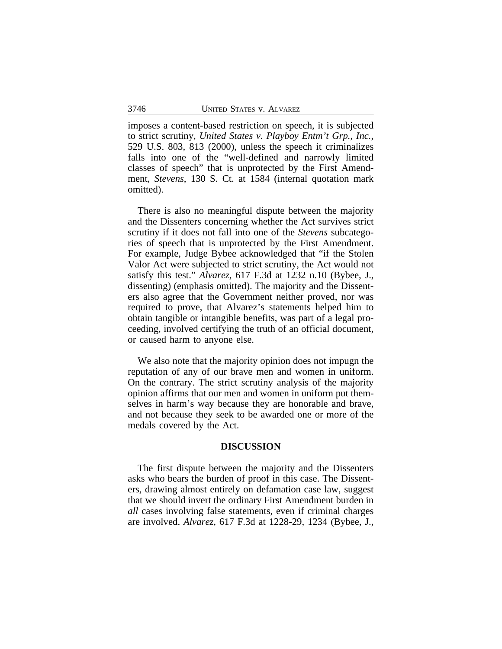imposes a content-based restriction on speech, it is subjected to strict scrutiny, *United States v. Playboy Entm't Grp., Inc.*, 529 U.S. 803, 813 (2000), unless the speech it criminalizes falls into one of the "well-defined and narrowly limited classes of speech" that is unprotected by the First Amendment, *Stevens*, 130 S. Ct. at 1584 (internal quotation mark omitted).

There is also no meaningful dispute between the majority and the Dissenters concerning whether the Act survives strict scrutiny if it does not fall into one of the *Stevens* subcategories of speech that is unprotected by the First Amendment. For example, Judge Bybee acknowledged that "if the Stolen Valor Act were subjected to strict scrutiny, the Act would not satisfy this test." *Alvarez*, 617 F.3d at 1232 n.10 (Bybee, J., dissenting) (emphasis omitted). The majority and the Dissenters also agree that the Government neither proved, nor was required to prove, that Alvarez's statements helped him to obtain tangible or intangible benefits, was part of a legal proceeding, involved certifying the truth of an official document, or caused harm to anyone else.

We also note that the majority opinion does not impugn the reputation of any of our brave men and women in uniform. On the contrary. The strict scrutiny analysis of the majority opinion affirms that our men and women in uniform put themselves in harm's way because they are honorable and brave, and not because they seek to be awarded one or more of the medals covered by the Act.

## **DISCUSSION**

The first dispute between the majority and the Dissenters asks who bears the burden of proof in this case. The Dissenters, drawing almost entirely on defamation case law, suggest that we should invert the ordinary First Amendment burden in *all* cases involving false statements, even if criminal charges are involved. *Alvarez*, 617 F.3d at 1228-29, 1234 (Bybee, J.,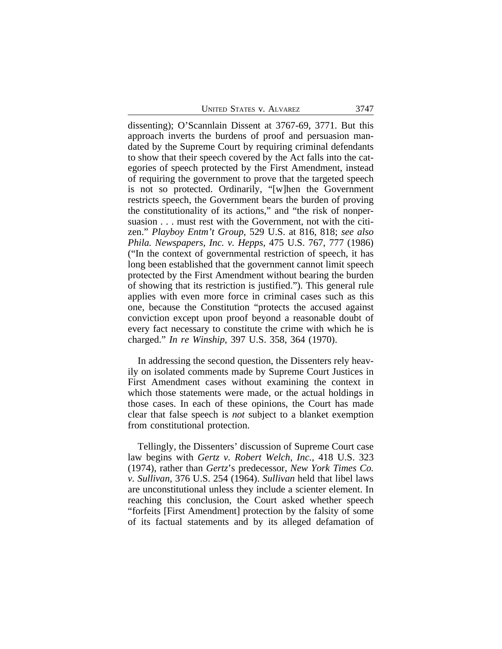dissenting); O'Scannlain Dissent at 3767-69, 3771. But this approach inverts the burdens of proof and persuasion mandated by the Supreme Court by requiring criminal defendants to show that their speech covered by the Act falls into the categories of speech protected by the First Amendment, instead of requiring the government to prove that the targeted speech is not so protected. Ordinarily, "[w]hen the Government restricts speech, the Government bears the burden of proving the constitutionality of its actions," and "the risk of nonpersuasion . . . must rest with the Government, not with the citizen." *Playboy Entm't Group*, 529 U.S. at 816, 818; *see also Phila. Newspapers, Inc. v. Hepps*, 475 U.S. 767, 777 (1986) ("In the context of governmental restriction of speech, it has long been established that the government cannot limit speech protected by the First Amendment without bearing the burden of showing that its restriction is justified."). This general rule applies with even more force in criminal cases such as this one, because the Constitution "protects the accused against conviction except upon proof beyond a reasonable doubt of every fact necessary to constitute the crime with which he is charged." *In re Winship*, 397 U.S. 358, 364 (1970).

In addressing the second question, the Dissenters rely heavily on isolated comments made by Supreme Court Justices in First Amendment cases without examining the context in which those statements were made, or the actual holdings in those cases. In each of these opinions, the Court has made clear that false speech is *not* subject to a blanket exemption from constitutional protection.

Tellingly, the Dissenters' discussion of Supreme Court case law begins with *Gertz v. Robert Welch, Inc.*, 418 U.S. 323 (1974), rather than *Gertz*'s predecessor, *New York Times Co. v. Sullivan*, 376 U.S. 254 (1964). *Sullivan* held that libel laws are unconstitutional unless they include a scienter element. In reaching this conclusion, the Court asked whether speech "forfeits [First Amendment] protection by the falsity of some of its factual statements and by its alleged defamation of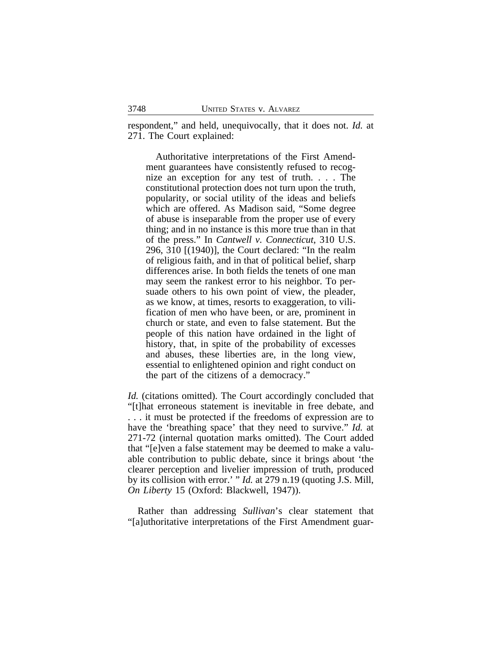respondent," and held, unequivocally, that it does not. *Id.* at 271. The Court explained:

Authoritative interpretations of the First Amendment guarantees have consistently refused to recognize an exception for any test of truth. . . . The constitutional protection does not turn upon the truth, popularity, or social utility of the ideas and beliefs which are offered. As Madison said, "Some degree of abuse is inseparable from the proper use of every thing; and in no instance is this more true than in that of the press." In *Cantwell v. Connecticut*, 310 U.S. 296, 310 [(1940)], the Court declared: "In the realm of religious faith, and in that of political belief, sharp differences arise. In both fields the tenets of one man may seem the rankest error to his neighbor. To persuade others to his own point of view, the pleader, as we know, at times, resorts to exaggeration, to vilification of men who have been, or are, prominent in church or state, and even to false statement. But the people of this nation have ordained in the light of history, that, in spite of the probability of excesses and abuses, these liberties are, in the long view, essential to enlightened opinion and right conduct on the part of the citizens of a democracy."

*Id.* (citations omitted). The Court accordingly concluded that "[t]hat erroneous statement is inevitable in free debate, and . . . it must be protected if the freedoms of expression are to have the 'breathing space' that they need to survive." *Id.* at 271-72 (internal quotation marks omitted). The Court added that "[e]ven a false statement may be deemed to make a valuable contribution to public debate, since it brings about 'the clearer perception and livelier impression of truth, produced by its collision with error.' " *Id.* at 279 n.19 (quoting J.S. Mill, *On Liberty* 15 (Oxford: Blackwell, 1947)).

Rather than addressing *Sullivan*'s clear statement that "[a]uthoritative interpretations of the First Amendment guar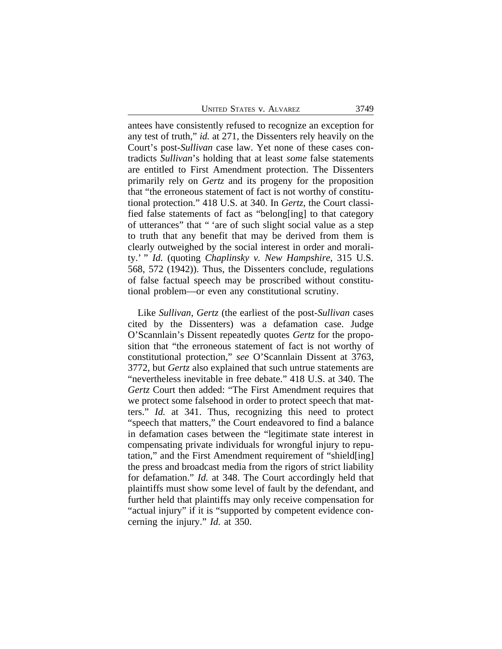UNITED STATES V. ALVAREZ 3749

antees have consistently refused to recognize an exception for any test of truth," *id.* at 271, the Dissenters rely heavily on the Court's post-*Sullivan* case law. Yet none of these cases contradicts *Sullivan*'s holding that at least *some* false statements are entitled to First Amendment protection. The Dissenters primarily rely on *Gertz* and its progeny for the proposition that "the erroneous statement of fact is not worthy of constitutional protection." 418 U.S. at 340. In *Gertz*, the Court classified false statements of fact as "belong[ing] to that category of utterances" that " 'are of such slight social value as a step to truth that any benefit that may be derived from them is clearly outweighed by the social interest in order and morality.' " *Id.* (quoting *Chaplinsky v. New Hampshire*, 315 U.S. 568, 572 (1942)). Thus, the Dissenters conclude, regulations of false factual speech may be proscribed without constitutional problem—or even any constitutional scrutiny.

Like *Sullivan*, *Gertz* (the earliest of the post-*Sullivan* cases cited by the Dissenters) was a defamation case. Judge O'Scannlain's Dissent repeatedly quotes *Gertz* for the proposition that "the erroneous statement of fact is not worthy of constitutional protection," *see* O'Scannlain Dissent at 3763, 3772, but *Gertz* also explained that such untrue statements are "nevertheless inevitable in free debate." 418 U.S. at 340. The *Gertz* Court then added: "The First Amendment requires that we protect some falsehood in order to protect speech that matters." *Id.* at 341. Thus, recognizing this need to protect "speech that matters," the Court endeavored to find a balance in defamation cases between the "legitimate state interest in compensating private individuals for wrongful injury to reputation," and the First Amendment requirement of "shield[ing] the press and broadcast media from the rigors of strict liability for defamation." *Id.* at 348. The Court accordingly held that plaintiffs must show some level of fault by the defendant, and further held that plaintiffs may only receive compensation for "actual injury" if it is "supported by competent evidence concerning the injury." *Id.* at 350.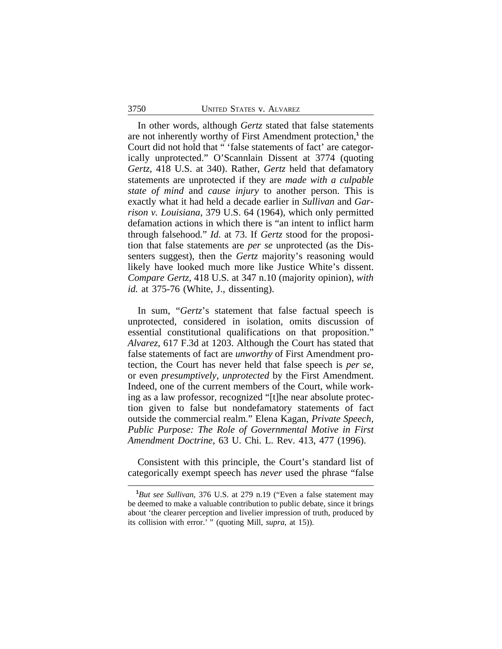In other words, although *Gertz* stated that false statements are not inherently worthy of First Amendment protection,**<sup>1</sup>** the Court did not hold that " 'false statements of fact' are categorically unprotected." O'Scannlain Dissent at 3774 (quoting *Gertz*, 418 U.S. at 340). Rather, *Gertz* held that defamatory statements are unprotected if they are *made with a culpable state of mind* and *cause injury* to another person. This is exactly what it had held a decade earlier in *Sullivan* and *Garrison v. Louisiana*, 379 U.S. 64 (1964), which only permitted defamation actions in which there is "an intent to inflict harm through falsehood." *Id.* at 73. If *Gertz* stood for the proposition that false statements are *per se* unprotected (as the Dissenters suggest), then the *Gertz* majority's reasoning would likely have looked much more like Justice White's dissent. *Compare Gertz*, 418 U.S. at 347 n.10 (majority opinion), *with id.* at 375-76 (White, J., dissenting).

In sum, "*Gertz*'s statement that false factual speech is unprotected, considered in isolation, omits discussion of essential constitutional qualifications on that proposition." *Alvarez*, 617 F.3d at 1203. Although the Court has stated that false statements of fact are *unworthy* of First Amendment protection, the Court has never held that false speech is *per se*, or even *presumptively*, *unprotected* by the First Amendment. Indeed, one of the current members of the Court, while working as a law professor, recognized "[t]he near absolute protection given to false but nondefamatory statements of fact outside the commercial realm." Elena Kagan, *Private Speech, Public Purpose: The Role of Governmental Motive in First Amendment Doctrine*, 63 U. Chi. L. Rev. 413, 477 (1996).

Consistent with this principle, the Court's standard list of categorically exempt speech has *never* used the phrase "false

**<sup>1</sup>***But see Sullivan*, 376 U.S. at 279 n.19 ("Even a false statement may be deemed to make a valuable contribution to public debate, since it brings about 'the clearer perception and livelier impression of truth, produced by its collision with error.' " (quoting Mill, *supra*, at 15)).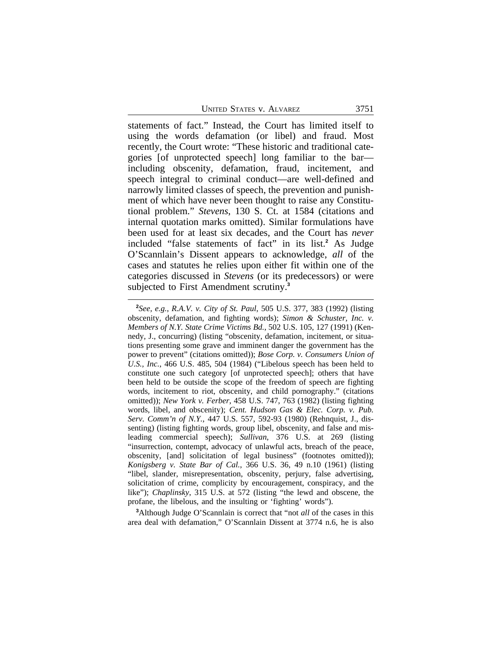statements of fact." Instead, the Court has limited itself to using the words defamation (or libel) and fraud. Most recently, the Court wrote: "These historic and traditional categories [of unprotected speech] long familiar to the bar including obscenity, defamation, fraud, incitement, and speech integral to criminal conduct—are well-defined and narrowly limited classes of speech, the prevention and punishment of which have never been thought to raise any Constitutional problem." *Stevens*, 130 S. Ct. at 1584 (citations and internal quotation marks omitted). Similar formulations have been used for at least six decades, and the Court has *never* included "false statements of fact" in its list.**<sup>2</sup>** As Judge O'Scannlain's Dissent appears to acknowledge, *all* of the cases and statutes he relies upon either fit within one of the categories discussed in *Stevens* (or its predecessors) or were subjected to First Amendment scrutiny.**<sup>3</sup>**

**<sup>3</sup>**Although Judge O'Scannlain is correct that "not *all* of the cases in this area deal with defamation," O'Scannlain Dissent at 3774 n.6, he is also

**<sup>2</sup>** *See, e.g.*, *R.A.V. v. City of St. Paul*, 505 U.S. 377, 383 (1992) (listing obscenity, defamation, and fighting words); *Simon & Schuster, Inc. v. Members of N.Y. State Crime Victims Bd.*, 502 U.S. 105, 127 (1991) (Kennedy, J., concurring) (listing "obscenity, defamation, incitement, or situations presenting some grave and imminent danger the government has the power to prevent" (citations omitted)); *Bose Corp. v. Consumers Union of U.S., Inc.*, 466 U.S. 485, 504 (1984) ("Libelous speech has been held to constitute one such category [of unprotected speech]; others that have been held to be outside the scope of the freedom of speech are fighting words, incitement to riot, obscenity, and child pornography." (citations omitted)); *New York v. Ferber*, 458 U.S. 747, 763 (1982) (listing fighting words, libel, and obscenity); *Cent. Hudson Gas & Elec. Corp. v. Pub. Serv. Comm'n of N.Y.*, 447 U.S. 557, 592-93 (1980) (Rehnquist, J., dissenting) (listing fighting words, group libel, obscenity, and false and misleading commercial speech); *Sullivan*, 376 U.S. at 269 (listing "insurrection, contempt, advocacy of unlawful acts, breach of the peace, obscenity, [and] solicitation of legal business" (footnotes omitted)); *Konigsberg v. State Bar of Cal.*, 366 U.S. 36, 49 n.10 (1961) (listing "libel, slander, misrepresentation, obscenity, perjury, false advertising, solicitation of crime, complicity by encouragement, conspiracy, and the like"); *Chaplinsky*, 315 U.S. at 572 (listing "the lewd and obscene, the profane, the libelous, and the insulting or 'fighting' words").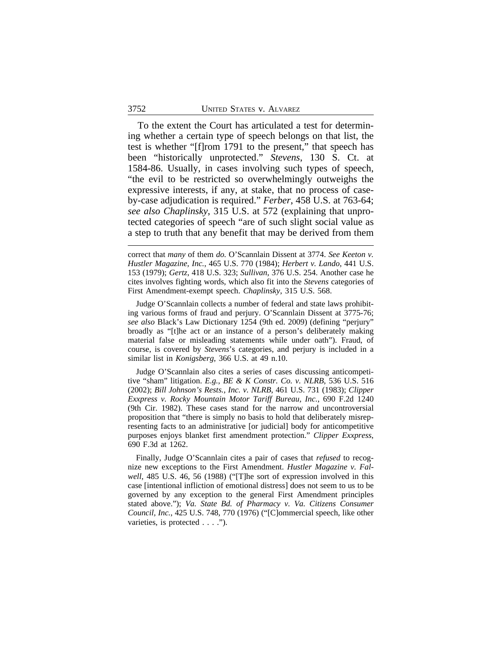To the extent the Court has articulated a test for determining whether a certain type of speech belongs on that list, the test is whether "[f]rom 1791 to the present," that speech has been "historically unprotected." *Stevens*, 130 S. Ct. at 1584-86. Usually, in cases involving such types of speech, "the evil to be restricted so overwhelmingly outweighs the expressive interests, if any, at stake, that no process of caseby-case adjudication is required." *Ferber*, 458 U.S. at 763-64; *see also Chaplinsky*, 315 U.S. at 572 (explaining that unprotected categories of speech "are of such slight social value as a step to truth that any benefit that may be derived from them

Judge O'Scannlain collects a number of federal and state laws prohibiting various forms of fraud and perjury. O'Scannlain Dissent at 3775-76; *see also* Black's Law Dictionary 1254 (9th ed. 2009) (defining "perjury" broadly as "[t]he act or an instance of a person's deliberately making material false or misleading statements while under oath"). Fraud, of course, is covered by *Stevens*'s categories, and perjury is included in a similar list in *Konigsberg*, 366 U.S. at 49 n.10.

Judge O'Scannlain also cites a series of cases discussing anticompetitive "sham" litigation. *E.g.*, *BE & K Constr. Co. v. NLRB*, 536 U.S. 516 (2002); *Bill Johnson's Rests., Inc. v. NLRB*, 461 U.S. 731 (1983); *Clipper Exxpress v. Rocky Mountain Motor Tariff Bureau, Inc.*, 690 F.2d 1240 (9th Cir. 1982). These cases stand for the narrow and uncontroversial proposition that "there is simply no basis to hold that deliberately misrepresenting facts to an administrative [or judicial] body for anticompetitive purposes enjoys blanket first amendment protection." *Clipper Exxpress*, 690 F.3d at 1262.

Finally, Judge O'Scannlain cites a pair of cases that *refused* to recognize new exceptions to the First Amendment. *Hustler Magazine v. Falwell*, 485 U.S. 46, 56 (1988) ("[T]he sort of expression involved in this case [intentional infliction of emotional distress] does not seem to us to be governed by any exception to the general First Amendment principles stated above."); *Va. State Bd. of Pharmacy v. Va. Citizens Consumer Council, Inc.*, 425 U.S. 748, 770 (1976) ("[C]ommercial speech, like other varieties, is protected . . . .").

correct that *many* of them *do.* O'Scannlain Dissent at 3774. *See Keeton v. Hustler Magazine, Inc.*, 465 U.S. 770 (1984); *Herbert v. Lando*, 441 U.S. 153 (1979); *Gertz*, 418 U.S. 323; *Sullivan*, 376 U.S. 254. Another case he cites involves fighting words, which also fit into the *Stevens* categories of First Amendment-exempt speech. *Chaplinsky*, 315 U.S. 568.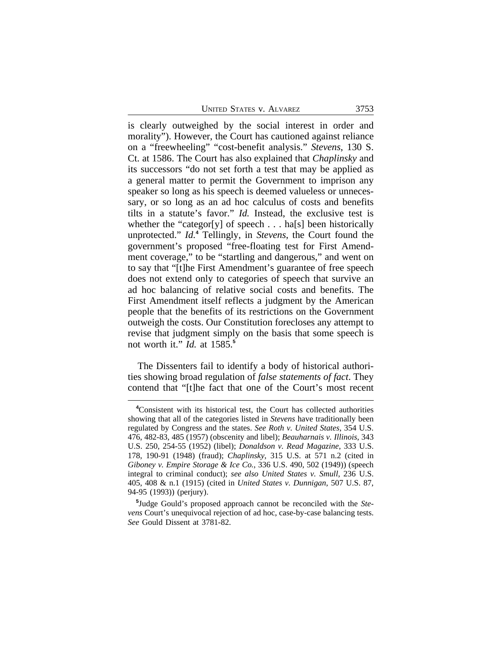is clearly outweighed by the social interest in order and morality"). However, the Court has cautioned against reliance on a "freewheeling" "cost-benefit analysis." *Stevens*, 130 S. Ct. at 1586. The Court has also explained that *Chaplinsky* and its successors "do not set forth a test that may be applied as a general matter to permit the Government to imprison any speaker so long as his speech is deemed valueless or unnecessary, or so long as an ad hoc calculus of costs and benefits tilts in a statute's favor." *Id.* Instead, the exclusive test is whether the "categor[y] of speech . . . ha[s] been historically unprotected." *Id.***<sup>4</sup>** Tellingly, in *Stevens*, the Court found the government's proposed "free-floating test for First Amendment coverage," to be "startling and dangerous," and went on to say that "[t]he First Amendment's guarantee of free speech does not extend only to categories of speech that survive an ad hoc balancing of relative social costs and benefits. The First Amendment itself reflects a judgment by the American people that the benefits of its restrictions on the Government outweigh the costs. Our Constitution forecloses any attempt to revise that judgment simply on the basis that some speech is not worth it." *Id.* at 1585.**<sup>5</sup>**

The Dissenters fail to identify a body of historical authorities showing broad regulation of *false statements of fact*. They contend that "[t]he fact that one of the Court's most recent

**<sup>4</sup>**Consistent with its historical test, the Court has collected authorities showing that all of the categories listed in *Stevens* have traditionally been regulated by Congress and the states. *See Roth v. United States*, 354 U.S. 476, 482-83, 485 (1957) (obscenity and libel); *Beauharnais v. Illinois*, 343 U.S. 250, 254-55 (1952) (libel); *Donaldson v. Read Magazine*, 333 U.S. 178, 190-91 (1948) (fraud); *Chaplinsky*, 315 U.S. at 571 n.2 (cited in *Giboney v. Empire Storage & Ice Co.*, 336 U.S. 490, 502 (1949)) (speech integral to criminal conduct); *see also United States v. Smull*, 236 U.S. 405, 408 & n.1 (1915) (cited in *United States v. Dunnigan*, 507 U.S. 87, 94-95 (1993)) (perjury).

**<sup>5</sup>** Judge Gould's proposed approach cannot be reconciled with the *Stevens* Court's unequivocal rejection of ad hoc, case-by-case balancing tests. *See* Gould Dissent at 3781-82.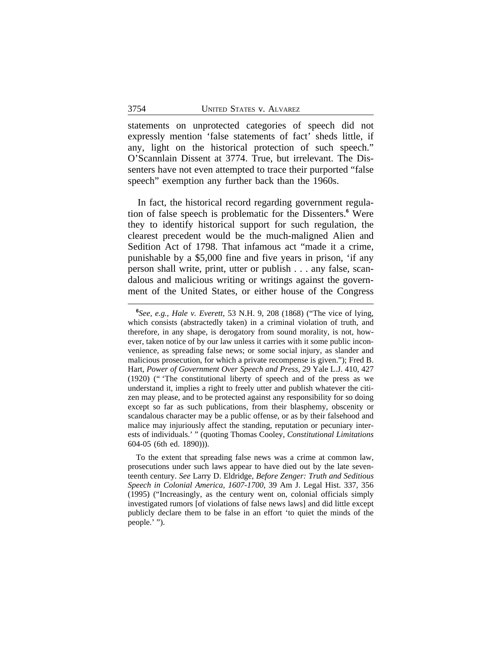statements on unprotected categories of speech did not expressly mention 'false statements of fact' sheds little, if any, light on the historical protection of such speech." O'Scannlain Dissent at 3774. True, but irrelevant. The Dissenters have not even attempted to trace their purported "false speech" exemption any further back than the 1960s.

In fact, the historical record regarding government regulation of false speech is problematic for the Dissenters.**<sup>6</sup>** Were they to identify historical support for such regulation, the clearest precedent would be the much-maligned Alien and Sedition Act of 1798. That infamous act "made it a crime, punishable by a \$5,000 fine and five years in prison, 'if any person shall write, print, utter or publish . . . any false, scandalous and malicious writing or writings against the government of the United States, or either house of the Congress

**<sup>6</sup>** *See, e.g.*, *Hale v. Everett*, 53 N.H. 9, 208 (1868) ("The vice of lying, which consists (abstractedly taken) in a criminal violation of truth, and therefore, in any shape, is derogatory from sound morality, is not, however, taken notice of by our law unless it carries with it some public inconvenience, as spreading false news; or some social injury, as slander and malicious prosecution, for which a private recompense is given."); Fred B. Hart, *Power of Government Over Speech and Press*, 29 Yale L.J. 410, 427 (1920) (" 'The constitutional liberty of speech and of the press as we understand it, implies a right to freely utter and publish whatever the citizen may please, and to be protected against any responsibility for so doing except so far as such publications, from their blasphemy, obscenity or scandalous character may be a public offense, or as by their falsehood and malice may injuriously affect the standing, reputation or pecuniary interests of individuals.' " (quoting Thomas Cooley, *Constitutional Limitations* 604-05 (6th ed. 1890))).

To the extent that spreading false news was a crime at common law, prosecutions under such laws appear to have died out by the late seventeenth century. *See* Larry D. Eldridge, *Before Zenger: Truth and Seditious Speech in Colonial America, 1607-1700*, 39 Am J. Legal Hist. 337, 356 (1995) ("Increasingly, as the century went on, colonial officials simply investigated rumors [of violations of false news laws] and did little except publicly declare them to be false in an effort 'to quiet the minds of the people.' ").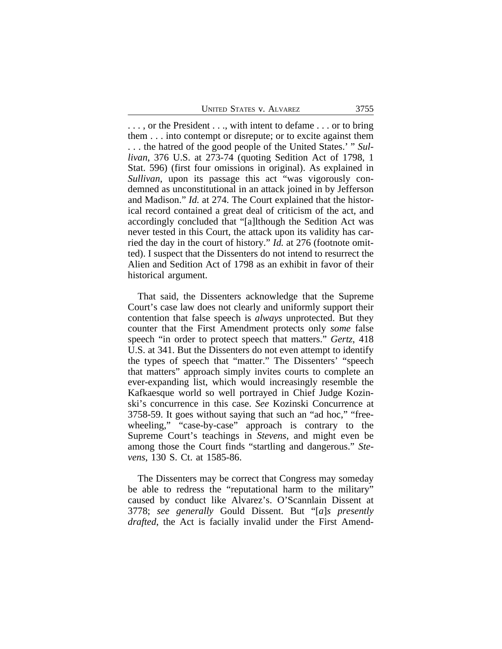. . . , or the President . . ., with intent to defame . . . or to bring them . . . into contempt or disrepute; or to excite against them . . . the hatred of the good people of the United States.' " *Sullivan*, 376 U.S. at 273-74 (quoting Sedition Act of 1798, 1 Stat. 596) (first four omissions in original). As explained in *Sullivan*, upon its passage this act "was vigorously condemned as unconstitutional in an attack joined in by Jefferson and Madison." *Id.* at 274. The Court explained that the historical record contained a great deal of criticism of the act, and accordingly concluded that "[a]lthough the Sedition Act was never tested in this Court, the attack upon its validity has carried the day in the court of history." *Id.* at 276 (footnote omitted). I suspect that the Dissenters do not intend to resurrect the Alien and Sedition Act of 1798 as an exhibit in favor of their historical argument.

That said, the Dissenters acknowledge that the Supreme Court's case law does not clearly and uniformly support their contention that false speech is *always* unprotected. But they counter that the First Amendment protects only *some* false speech "in order to protect speech that matters." *Gertz*, 418 U.S. at 341. But the Dissenters do not even attempt to identify the types of speech that "matter." The Dissenters' "speech that matters" approach simply invites courts to complete an ever-expanding list, which would increasingly resemble the Kafkaesque world so well portrayed in Chief Judge Kozinski's concurrence in this case. *See* Kozinski Concurrence at 3758-59. It goes without saying that such an "ad hoc," "freewheeling," "case-by-case" approach is contrary to the Supreme Court's teachings in *Stevens*, and might even be among those the Court finds "startling and dangerous." *Stevens*, 130 S. Ct. at 1585-86.

The Dissenters may be correct that Congress may someday be able to redress the "reputational harm to the military" caused by conduct like Alvarez's. O'Scannlain Dissent at 3778; *see generally* Gould Dissent. But "[*a*]*s presently drafted*, the Act is facially invalid under the First Amend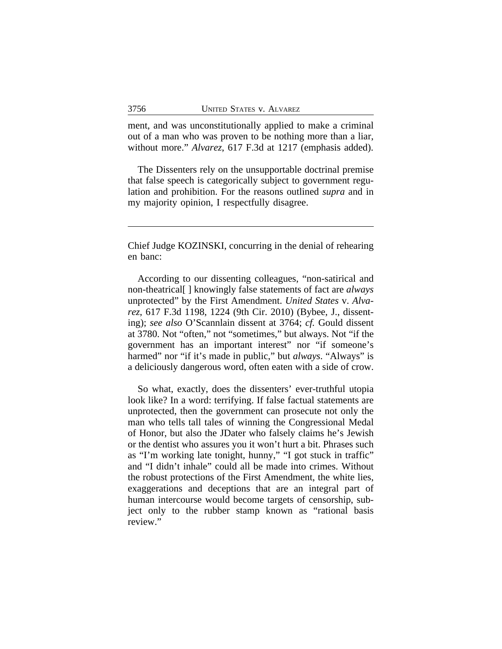ment, and was unconstitutionally applied to make a criminal out of a man who was proven to be nothing more than a liar, without more." *Alvarez*, 617 F.3d at 1217 (emphasis added).

The Dissenters rely on the unsupportable doctrinal premise that false speech is categorically subject to government regulation and prohibition. For the reasons outlined *supra* and in my majority opinion, I respectfully disagree.

Chief Judge KOZINSKI, concurring in the denial of rehearing en banc:

According to our dissenting colleagues, "non-satirical and non-theatrical[ ] knowingly false statements of fact are *always* unprotected" by the First Amendment. *United States* v. *Alvarez*, 617 F.3d 1198, 1224 (9th Cir. 2010) (Bybee, J., dissenting); *see also* O'Scannlain dissent at 3764; *cf.* Gould dissent at 3780. Not "often," not "sometimes," but always. Not "if the government has an important interest" nor "if someone's harmed" nor "if it's made in public," but *always*. "Always" is a deliciously dangerous word, often eaten with a side of crow.

So what, exactly, does the dissenters' ever-truthful utopia look like? In a word: terrifying. If false factual statements are unprotected, then the government can prosecute not only the man who tells tall tales of winning the Congressional Medal of Honor, but also the JDater who falsely claims he's Jewish or the dentist who assures you it won't hurt a bit. Phrases such as "I'm working late tonight, hunny," "I got stuck in traffic" and "I didn't inhale" could all be made into crimes. Without the robust protections of the First Amendment, the white lies, exaggerations and deceptions that are an integral part of human intercourse would become targets of censorship, subject only to the rubber stamp known as "rational basis review."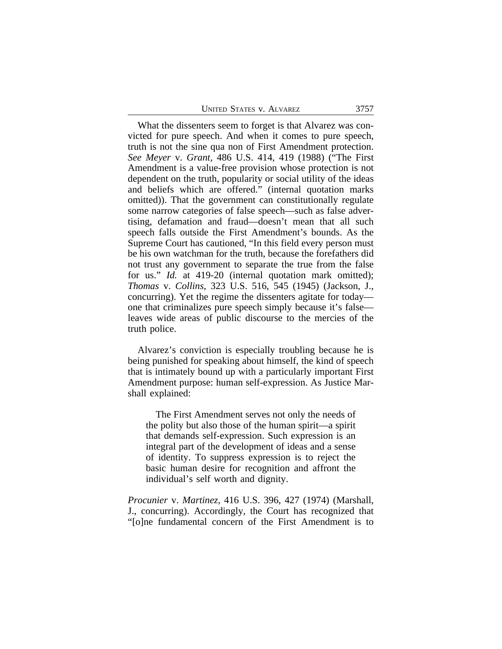| <b>UNITED STATES V. ALVAREZ</b><br>3757 |  |
|-----------------------------------------|--|
|-----------------------------------------|--|

What the dissenters seem to forget is that Alvarez was convicted for pure speech. And when it comes to pure speech, truth is not the sine qua non of First Amendment protection. *See Meyer* v. *Grant*, 486 U.S. 414, 419 (1988) ("The First Amendment is a value-free provision whose protection is not dependent on the truth, popularity or social utility of the ideas and beliefs which are offered." (internal quotation marks omitted)). That the government can constitutionally regulate some narrow categories of false speech—such as false advertising, defamation and fraud—doesn't mean that all such speech falls outside the First Amendment's bounds. As the Supreme Court has cautioned, "In this field every person must be his own watchman for the truth, because the forefathers did not trust any government to separate the true from the false for us." *Id.* at 419-20 (internal quotation mark omitted); *Thomas* v. *Collins*, 323 U.S. 516, 545 (1945) (Jackson, J., concurring). Yet the regime the dissenters agitate for today one that criminalizes pure speech simply because it's false leaves wide areas of public discourse to the mercies of the truth police.

Alvarez's conviction is especially troubling because he is being punished for speaking about himself, the kind of speech that is intimately bound up with a particularly important First Amendment purpose: human self-expression. As Justice Marshall explained:

The First Amendment serves not only the needs of the polity but also those of the human spirit—a spirit that demands self-expression. Such expression is an integral part of the development of ideas and a sense of identity. To suppress expression is to reject the basic human desire for recognition and affront the individual's self worth and dignity.

*Procunier* v. *Martinez*, 416 U.S. 396, 427 (1974) (Marshall, J., concurring). Accordingly, the Court has recognized that "[o]ne fundamental concern of the First Amendment is to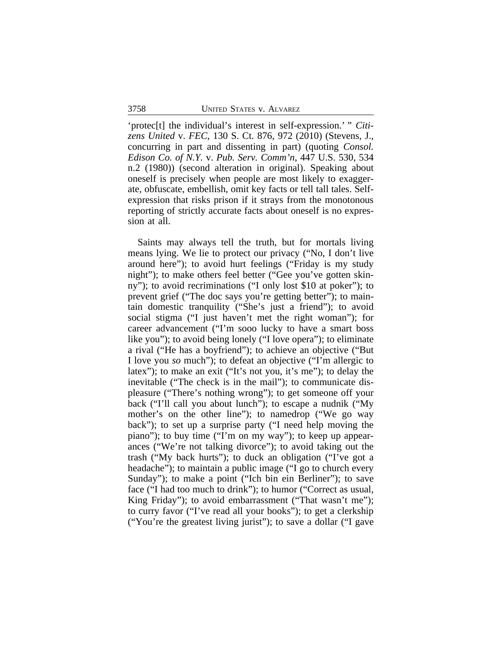'protec[t] the individual's interest in self-expression.' " *Citizens United* v. *FEC*, 130 S. Ct. 876, 972 (2010) (Stevens, J., concurring in part and dissenting in part) (quoting *Consol. Edison Co. of N.Y.* v. *Pub. Serv. Comm'n*, 447 U.S. 530, 534 n.2 (1980)) (second alteration in original). Speaking about oneself is precisely when people are most likely to exaggerate, obfuscate, embellish, omit key facts or tell tall tales. Selfexpression that risks prison if it strays from the monotonous reporting of strictly accurate facts about oneself is no expression at all.

Saints may always tell the truth, but for mortals living means lying. We lie to protect our privacy ("No, I don't live around here"); to avoid hurt feelings ("Friday is my study night"); to make others feel better ("Gee you've gotten skinny"); to avoid recriminations ("I only lost \$10 at poker"); to prevent grief ("The doc says you're getting better"); to maintain domestic tranquility ("She's just a friend"); to avoid social stigma ("I just haven't met the right woman"); for career advancement ("I'm sooo lucky to have a smart boss like you"); to avoid being lonely ("I love opera"); to eliminate a rival ("He has a boyfriend"); to achieve an objective ("But I love you *so* much"); to defeat an objective ("I'm allergic to latex"); to make an exit ("It's not you, it's me"); to delay the inevitable ("The check is in the mail"); to communicate displeasure ("There's nothing wrong"); to get someone off your back ("I'll call you about lunch"); to escape a nudnik ("My mother's on the other line"); to namedrop ("We go way back"); to set up a surprise party ("I need help moving the piano"); to buy time ("I'm on my way"); to keep up appearances ("We're not talking divorce"); to avoid taking out the trash ("My back hurts"); to duck an obligation ("I've got a headache"); to maintain a public image ("I go to church every Sunday"); to make a point ("Ich bin ein Berliner"); to save face ("I had too much to drink"); to humor ("Correct as usual, King Friday"); to avoid embarrassment ("That wasn't me"); to curry favor ("I've read all your books"); to get a clerkship ("You're the greatest living jurist"); to save a dollar ("I gave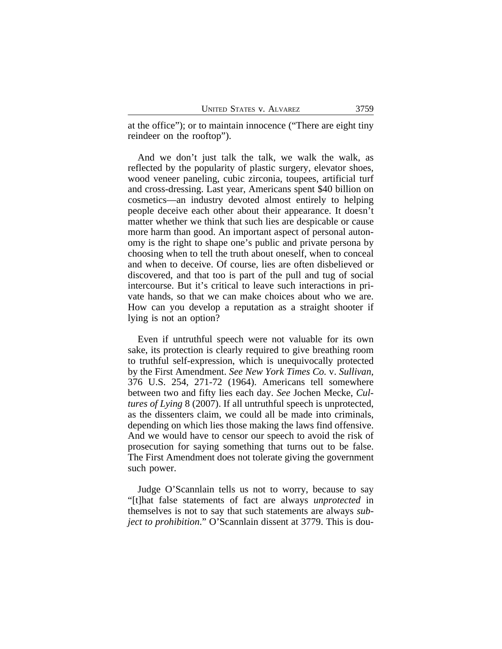at the office"); or to maintain innocence ("There are eight tiny reindeer on the rooftop").

And we don't just talk the talk, we walk the walk, as reflected by the popularity of plastic surgery, elevator shoes, wood veneer paneling, cubic zirconia, toupees, artificial turf and cross-dressing. Last year, Americans spent \$40 billion on cosmetics—an industry devoted almost entirely to helping people deceive each other about their appearance. It doesn't matter whether we think that such lies are despicable or cause more harm than good. An important aspect of personal autonomy is the right to shape one's public and private persona by choosing when to tell the truth about oneself, when to conceal and when to deceive. Of course, lies are often disbelieved or discovered, and that too is part of the pull and tug of social intercourse. But it's critical to leave such interactions in private hands, so that we can make choices about who we are. How can you develop a reputation as a straight shooter if lying is not an option?

Even if untruthful speech were not valuable for its own sake, its protection is clearly required to give breathing room to truthful self-expression, which is unequivocally protected by the First Amendment. *See New York Times Co.* v. *Sullivan*, 376 U.S. 254, 271-72 (1964). Americans tell somewhere between two and fifty lies each day. *See* Jochen Mecke, *Cultures of Lying* 8 (2007). If all untruthful speech is unprotected, as the dissenters claim, we could all be made into criminals, depending on which lies those making the laws find offensive. And we would have to censor our speech to avoid the risk of prosecution for saying something that turns out to be false. The First Amendment does not tolerate giving the government such power.

Judge O'Scannlain tells us not to worry, because to say "[t]hat false statements of fact are always *unprotected* in themselves is not to say that such statements are always *subject to prohibition*." O'Scannlain dissent at 3779. This is dou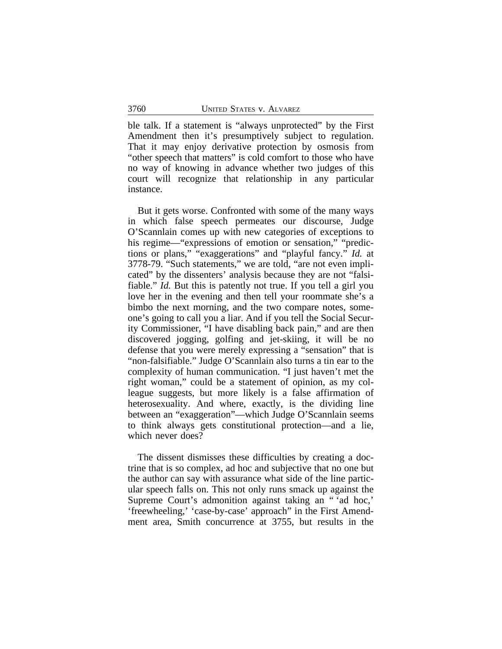ble talk. If a statement is "always unprotected" by the First Amendment then it's presumptively subject to regulation. That it may enjoy derivative protection by osmosis from "other speech that matters" is cold comfort to those who have no way of knowing in advance whether two judges of this court will recognize that relationship in any particular instance.

But it gets worse. Confronted with some of the many ways in which false speech permeates our discourse, Judge O'Scannlain comes up with new categories of exceptions to his regime—"expressions of emotion or sensation," "predictions or plans," "exaggerations" and "playful fancy." *Id.* at 3778-79. "Such statements," we are told, "are not even implicated" by the dissenters' analysis because they are not "falsifiable." *Id.* But this is patently not true. If you tell a girl you love her in the evening and then tell your roommate she's a bimbo the next morning, and the two compare notes, someone's going to call you a liar. And if you tell the Social Security Commissioner, "I have disabling back pain," and are then discovered jogging, golfing and jet-skiing, it will be no defense that you were merely expressing a "sensation" that is "non-falsifiable." Judge O'Scannlain also turns a tin ear to the complexity of human communication. "I just haven't met the right woman," could be a statement of opinion, as my colleague suggests, but more likely is a false affirmation of heterosexuality. And where, exactly, is the dividing line between an "exaggeration"—which Judge O'Scannlain seems to think always gets constitutional protection—and a lie, which never does?

The dissent dismisses these difficulties by creating a doctrine that is so complex, ad hoc and subjective that no one but the author can say with assurance what side of the line particular speech falls on. This not only runs smack up against the Supreme Court's admonition against taking an " 'ad hoc,' 'freewheeling,' 'case-by-case' approach" in the First Amendment area, Smith concurrence at 3755, but results in the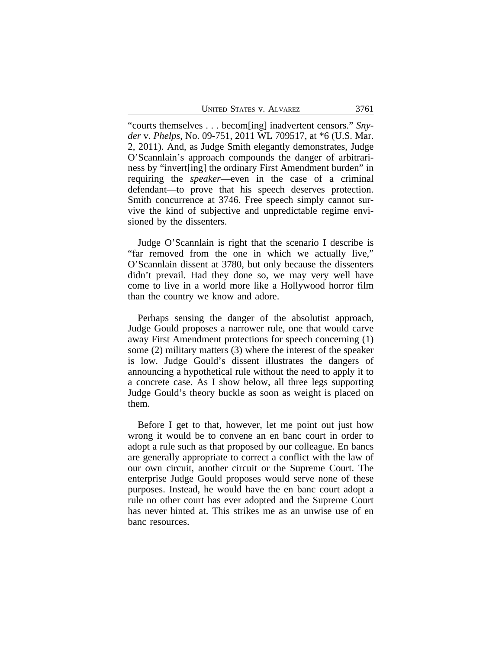UNITED STATES V. ALVAREZ 3761

"courts themselves . . . becom[ing] inadvertent censors." *Snyder* v. *Phelps*, No. 09-751, 2011 WL 709517, at \*6 (U.S. Mar. 2, 2011). And, as Judge Smith elegantly demonstrates, Judge O'Scannlain's approach compounds the danger of arbitrariness by "invert[ing] the ordinary First Amendment burden" in requiring the *speaker*—even in the case of a criminal defendant—to prove that his speech deserves protection. Smith concurrence at 3746. Free speech simply cannot survive the kind of subjective and unpredictable regime envisioned by the dissenters.

Judge O'Scannlain is right that the scenario I describe is "far removed from the one in which we actually live," O'Scannlain dissent at 3780, but only because the dissenters didn't prevail. Had they done so, we may very well have come to live in a world more like a Hollywood horror film than the country we know and adore.

Perhaps sensing the danger of the absolutist approach, Judge Gould proposes a narrower rule, one that would carve away First Amendment protections for speech concerning (1) some (2) military matters (3) where the interest of the speaker is low. Judge Gould's dissent illustrates the dangers of announcing a hypothetical rule without the need to apply it to a concrete case. As I show below, all three legs supporting Judge Gould's theory buckle as soon as weight is placed on them.

Before I get to that, however, let me point out just how wrong it would be to convene an en banc court in order to adopt a rule such as that proposed by our colleague. En bancs are generally appropriate to correct a conflict with the law of our own circuit, another circuit or the Supreme Court. The enterprise Judge Gould proposes would serve none of these purposes. Instead, he would have the en banc court adopt a rule no other court has ever adopted and the Supreme Court has never hinted at. This strikes me as an unwise use of en banc resources.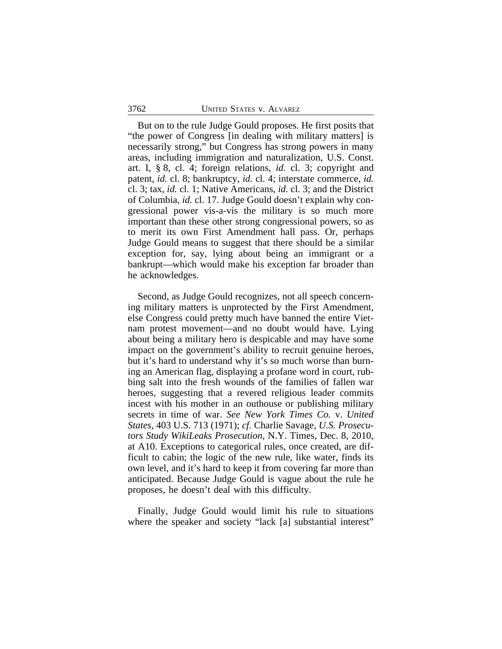But on to the rule Judge Gould proposes. He first posits that "the power of Congress [in dealing with military matters] is necessarily strong," but Congress has strong powers in many areas, including immigration and naturalization, U.S. Const. art. I, § 8, cl. 4; foreign relations, *id.* cl. 3; copyright and patent, *id.* cl. 8; bankruptcy, *id.* cl. 4; interstate commerce, *id.* cl. 3; tax, *id.* cl. 1; Native Americans, *id.* cl. 3; and the District of Columbia, *id.* cl. 17. Judge Gould doesn't explain why congressional power vis-a-vis the military is so much more important than these other strong congressional powers, so as to merit its own First Amendment hall pass. Or, perhaps Judge Gould means to suggest that there should be a similar exception for, say, lying about being an immigrant or a bankrupt—which would make his exception far broader than he acknowledges.

Second, as Judge Gould recognizes, not all speech concerning military matters is unprotected by the First Amendment, else Congress could pretty much have banned the entire Vietnam protest movement—and no doubt would have. Lying about being a military hero is despicable and may have some impact on the government's ability to recruit genuine heroes, but it's hard to understand why it's so much worse than burning an American flag, displaying a profane word in court, rubbing salt into the fresh wounds of the families of fallen war heroes, suggesting that a revered religious leader commits incest with his mother in an outhouse or publishing military secrets in time of war. *See New York Times Co.* v. *United States*, 403 U.S. 713 (1971); *cf.* Charlie Savage, *U.S. Prosecutors Study WikiLeaks Prosecution*, N.Y. Times, Dec. 8, 2010, at A10. Exceptions to categorical rules, once created, are difficult to cabin; the logic of the new rule, like water, finds its own level, and it's hard to keep it from covering far more than anticipated. Because Judge Gould is vague about the rule he proposes, he doesn't deal with this difficulty.

Finally, Judge Gould would limit his rule to situations where the speaker and society "lack [a] substantial interest"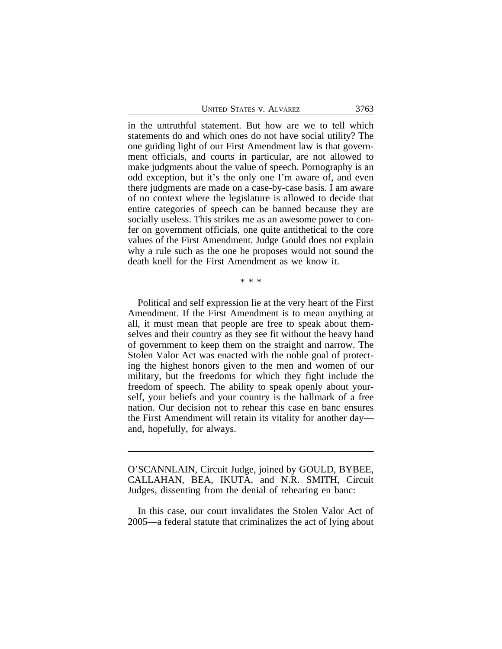| <b>UNITED STATES V. ALVAREZ</b> | 3763 |
|---------------------------------|------|
|                                 |      |

in the untruthful statement. But how are we to tell which statements do and which ones do not have social utility? The one guiding light of our First Amendment law is that government officials, and courts in particular, are not allowed to make judgments about the value of speech. Pornography is an odd exception, but it's the only one I'm aware of, and even there judgments are made on a case-by-case basis. I am aware of no context where the legislature is allowed to decide that entire categories of speech can be banned because they are socially useless. This strikes me as an awesome power to confer on government officials, one quite antithetical to the core values of the First Amendment. Judge Gould does not explain why a rule such as the one he proposes would not sound the death knell for the First Amendment as we know it.

\* \* \*

Political and self expression lie at the very heart of the First Amendment. If the First Amendment is to mean anything at all, it must mean that people are free to speak about themselves and their country as they see fit without the heavy hand of government to keep them on the straight and narrow. The Stolen Valor Act was enacted with the noble goal of protecting the highest honors given to the men and women of our military, but the freedoms for which they fight include the freedom of speech. The ability to speak openly about yourself, your beliefs and your country is the hallmark of a free nation. Our decision not to rehear this case en banc ensures the First Amendment will retain its vitality for another day and, hopefully, for always.

O'SCANNLAIN, Circuit Judge, joined by GOULD, BYBEE, CALLAHAN, BEA, IKUTA, and N.R. SMITH, Circuit Judges, dissenting from the denial of rehearing en banc:

In this case, our court invalidates the Stolen Valor Act of 2005—a federal statute that criminalizes the act of lying about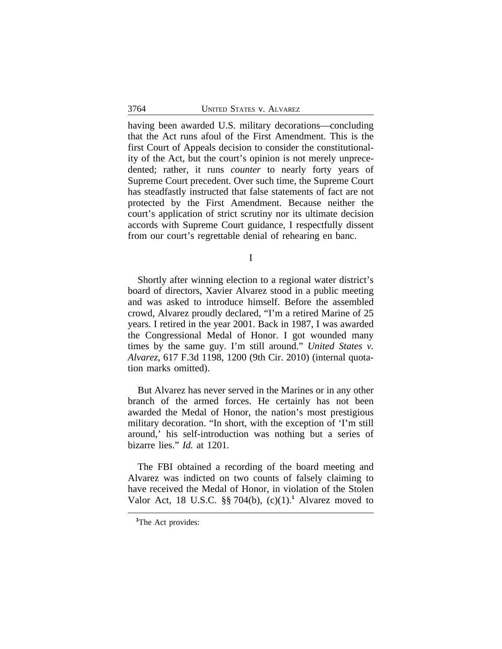having been awarded U.S. military decorations—concluding that the Act runs afoul of the First Amendment. This is the first Court of Appeals decision to consider the constitutionality of the Act, but the court's opinion is not merely unprecedented; rather, it runs *counter* to nearly forty years of Supreme Court precedent. Over such time, the Supreme Court has steadfastly instructed that false statements of fact are not protected by the First Amendment. Because neither the court's application of strict scrutiny nor its ultimate decision accords with Supreme Court guidance, I respectfully dissent from our court's regrettable denial of rehearing en banc.

I

Shortly after winning election to a regional water district's board of directors, Xavier Alvarez stood in a public meeting and was asked to introduce himself. Before the assembled crowd, Alvarez proudly declared, "I'm a retired Marine of 25 years. I retired in the year 2001. Back in 1987, I was awarded the Congressional Medal of Honor. I got wounded many times by the same guy. I'm still around." *United States v. Alvarez*, 617 F.3d 1198, 1200 (9th Cir. 2010) (internal quotation marks omitted).

But Alvarez has never served in the Marines or in any other branch of the armed forces. He certainly has not been awarded the Medal of Honor, the nation's most prestigious military decoration. "In short, with the exception of 'I'm still around,' his self-introduction was nothing but a series of bizarre lies." *Id.* at 1201.

The FBI obtained a recording of the board meeting and Alvarez was indicted on two counts of falsely claiming to have received the Medal of Honor, in violation of the Stolen Valor Act, 18 U.S.C. §§ 704(b), (c)(1).**<sup>1</sup>** Alvarez moved to

**<sup>1</sup>**The Act provides: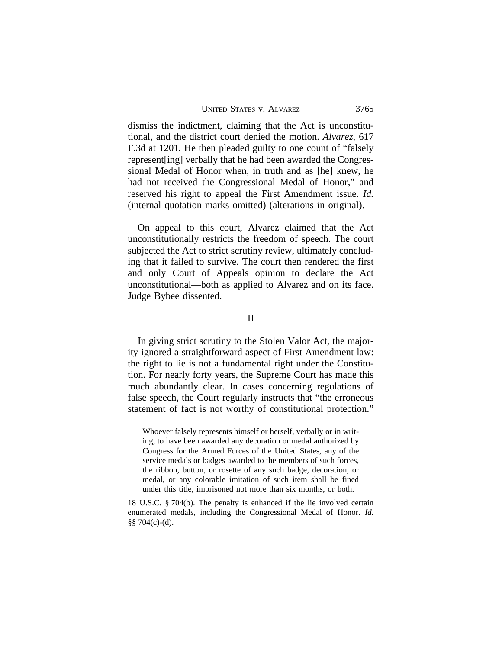UNITED STATES V. ALVAREZ 3765

dismiss the indictment, claiming that the Act is unconstitutional, and the district court denied the motion. *Alvarez*, 617 F.3d at 1201*.* He then pleaded guilty to one count of "falsely represent[ing] verbally that he had been awarded the Congressional Medal of Honor when, in truth and as [he] knew, he had not received the Congressional Medal of Honor," and reserved his right to appeal the First Amendment issue. *Id.* (internal quotation marks omitted) (alterations in original).

On appeal to this court, Alvarez claimed that the Act unconstitutionally restricts the freedom of speech. The court subjected the Act to strict scrutiny review, ultimately concluding that it failed to survive. The court then rendered the first and only Court of Appeals opinion to declare the Act unconstitutional—both as applied to Alvarez and on its face. Judge Bybee dissented.

#### II

In giving strict scrutiny to the Stolen Valor Act, the majority ignored a straightforward aspect of First Amendment law: the right to lie is not a fundamental right under the Constitution. For nearly forty years, the Supreme Court has made this much abundantly clear. In cases concerning regulations of false speech, the Court regularly instructs that "the erroneous statement of fact is not worthy of constitutional protection."

Whoever falsely represents himself or herself, verbally or in writing, to have been awarded any decoration or medal authorized by Congress for the Armed Forces of the United States, any of the service medals or badges awarded to the members of such forces, the ribbon, button, or rosette of any such badge, decoration, or medal, or any colorable imitation of such item shall be fined under this title, imprisoned not more than six months, or both.

<sup>18</sup> U.S.C. § 704(b). The penalty is enhanced if the lie involved certain enumerated medals, including the Congressional Medal of Honor. *Id.* §§ 704(c)-(d).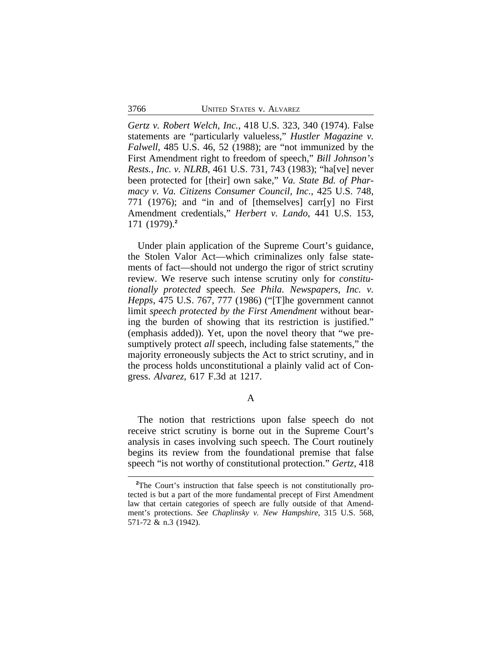*Gertz v. Robert Welch, Inc.*, 418 U.S. 323, 340 (1974). False statements are "particularly valueless," *Hustler Magazine v. Falwell*, 485 U.S. 46, 52 (1988); are "not immunized by the First Amendment right to freedom of speech," *Bill Johnson's Rests., Inc. v. NLRB*, 461 U.S. 731, 743 (1983); "ha[ve] never been protected for [their] own sake," *Va. State Bd. of Pharmacy v. Va. Citizens Consumer Council, Inc.*, 425 U.S. 748, 771 (1976); and "in and of [themselves] carr[y] no First Amendment credentials," *Herbert v. Lando*, 441 U.S. 153, 171 (1979).**<sup>2</sup>**

Under plain application of the Supreme Court's guidance, the Stolen Valor Act—which criminalizes only false statements of fact—should not undergo the rigor of strict scrutiny review. We reserve such intense scrutiny only for *constitutionally protected* speech. *See Phila. Newspapers, Inc. v. Hepps*, 475 U.S. 767, 777 (1986) ("[T]he government cannot limit *speech protected by the First Amendment* without bearing the burden of showing that its restriction is justified." (emphasis added)). Yet, upon the novel theory that "we presumptively protect *all* speech, including false statements," the majority erroneously subjects the Act to strict scrutiny, and in the process holds unconstitutional a plainly valid act of Congress. *Alvarez*, 617 F.3d at 1217.

A

The notion that restrictions upon false speech do not receive strict scrutiny is borne out in the Supreme Court's analysis in cases involving such speech. The Court routinely begins its review from the foundational premise that false speech "is not worthy of constitutional protection." *Gertz*, 418

**<sup>2</sup>**The Court's instruction that false speech is not constitutionally protected is but a part of the more fundamental precept of First Amendment law that certain categories of speech are fully outside of that Amendment's protections. *See Chaplinsky v. New Hampshire*, 315 U.S. 568, 571-72 & n.3 (1942).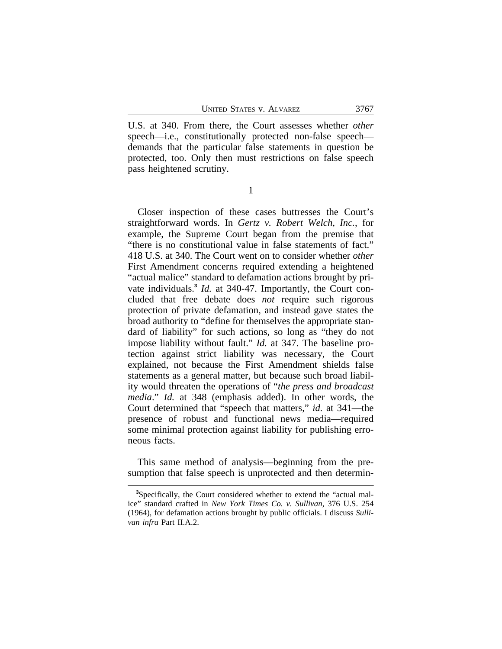U.S. at 340. From there, the Court assesses whether *other* speech—i.e., constitutionally protected non-false speech demands that the particular false statements in question be protected, too. Only then must restrictions on false speech pass heightened scrutiny.

1

Closer inspection of these cases buttresses the Court's straightforward words. In *Gertz v. Robert Welch, Inc.*, for example, the Supreme Court began from the premise that "there is no constitutional value in false statements of fact." 418 U.S. at 340. The Court went on to consider whether *other* First Amendment concerns required extending a heightened "actual malice" standard to defamation actions brought by private individuals.**<sup>3</sup>** *Id.* at 340-47. Importantly, the Court concluded that free debate does *not* require such rigorous protection of private defamation, and instead gave states the broad authority to "define for themselves the appropriate standard of liability" for such actions, so long as "they do not impose liability without fault." *Id.* at 347. The baseline protection against strict liability was necessary, the Court explained, not because the First Amendment shields false statements as a general matter, but because such broad liability would threaten the operations of "*the press and broadcast media*." *Id.* at 348 (emphasis added). In other words, the Court determined that "speech that matters," *id.* at 341—the presence of robust and functional news media—required some minimal protection against liability for publishing erroneous facts.

This same method of analysis—beginning from the presumption that false speech is unprotected and then determin-

**<sup>3</sup>**Specifically, the Court considered whether to extend the "actual malice" standard crafted in *New York Times Co. v. Sullivan*, 376 U.S. 254 (1964), for defamation actions brought by public officials. I discuss *Sullivan infra* Part II.A.2.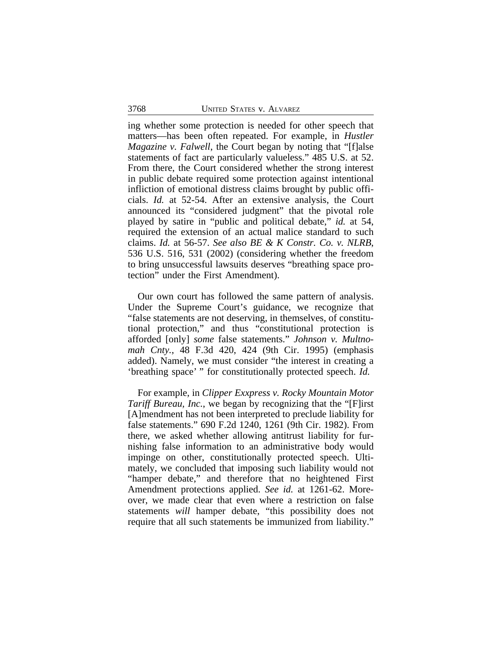ing whether some protection is needed for other speech that matters—has been often repeated. For example, in *Hustler Magazine v. Falwell*, the Court began by noting that "[f]alse statements of fact are particularly valueless." 485 U.S. at 52. From there, the Court considered whether the strong interest in public debate required some protection against intentional infliction of emotional distress claims brought by public officials. *Id.* at 52-54. After an extensive analysis, the Court announced its "considered judgment" that the pivotal role played by satire in "public and political debate," *id.* at 54, required the extension of an actual malice standard to such claims. *Id.* at 56-57. *See also BE & K Constr. Co. v. NLRB*, 536 U.S. 516, 531 (2002) (considering whether the freedom to bring unsuccessful lawsuits deserves "breathing space protection" under the First Amendment).

Our own court has followed the same pattern of analysis. Under the Supreme Court's guidance, we recognize that "false statements are not deserving, in themselves, of constitutional protection," and thus "constitutional protection is afforded [only] *some* false statements." *Johnson v. Multnomah Cnty.*, 48 F.3d 420, 424 (9th Cir. 1995) (emphasis added). Namely, we must consider "the interest in creating a 'breathing space' " for constitutionally protected speech. *Id.*

For example, in *Clipper Exxpress v. Rocky Mountain Motor Tariff Bureau, Inc.*, we began by recognizing that the "[F]irst [A]mendment has not been interpreted to preclude liability for false statements." 690 F.2d 1240, 1261 (9th Cir. 1982). From there, we asked whether allowing antitrust liability for furnishing false information to an administrative body would impinge on other, constitutionally protected speech. Ultimately, we concluded that imposing such liability would not "hamper debate," and therefore that no heightened First Amendment protections applied. *See id.* at 1261-62. Moreover, we made clear that even where a restriction on false statements *will* hamper debate, "this possibility does not require that all such statements be immunized from liability."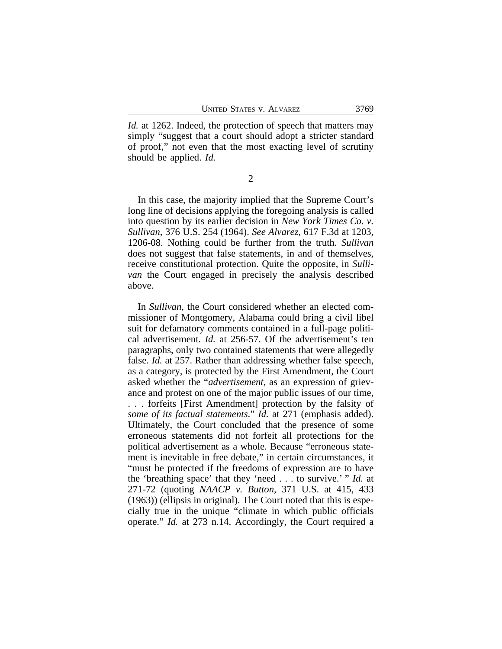*Id.* at 1262. Indeed, the protection of speech that matters may simply "suggest that a court should adopt a stricter standard of proof," not even that the most exacting level of scrutiny should be applied. *Id.*

2

In this case, the majority implied that the Supreme Court's long line of decisions applying the foregoing analysis is called into question by its earlier decision in *New York Times Co. v. Sullivan*, 376 U.S. 254 (1964). *See Alvarez*, 617 F.3d at 1203, 1206-08. Nothing could be further from the truth. *Sullivan* does not suggest that false statements, in and of themselves, receive constitutional protection. Quite the opposite, in *Sullivan* the Court engaged in precisely the analysis described above.

In *Sullivan*, the Court considered whether an elected commissioner of Montgomery, Alabama could bring a civil libel suit for defamatory comments contained in a full-page political advertisement. *Id.* at 256-57. Of the advertisement's ten paragraphs, only two contained statements that were allegedly false. *Id.* at 257. Rather than addressing whether false speech, as a category, is protected by the First Amendment, the Court asked whether the "*advertisement*, as an expression of grievance and protest on one of the major public issues of our time, . . . forfeits [First Amendment] protection by the falsity of *some of its factual statements*." *Id.* at 271 (emphasis added). Ultimately, the Court concluded that the presence of some erroneous statements did not forfeit all protections for the political advertisement as a whole. Because "erroneous statement is inevitable in free debate," in certain circumstances, it "must be protected if the freedoms of expression are to have the 'breathing space' that they 'need . . . to survive.' " *Id.* at 271-72 (quoting *NAACP v. Button*, 371 U.S. at 415, 433 (1963)) (ellipsis in original). The Court noted that this is especially true in the unique "climate in which public officials operate." *Id.* at 273 n.14. Accordingly, the Court required a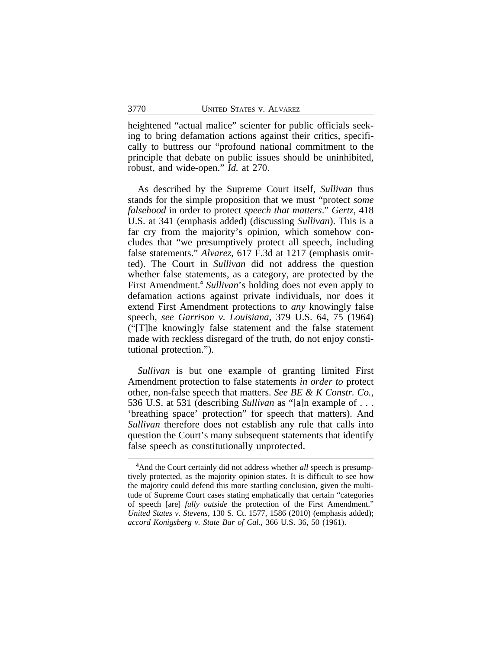heightened "actual malice" scienter for public officials seeking to bring defamation actions against their critics, specifically to buttress our "profound national commitment to the principle that debate on public issues should be uninhibited, robust, and wide-open." *Id.* at 270.

As described by the Supreme Court itself, *Sullivan* thus stands for the simple proposition that we must "protect *some falsehood* in order to protect *speech that matters*." *Gertz*, 418 U.S. at 341 (emphasis added) (discussing *Sullivan*). This is a far cry from the majority's opinion, which somehow concludes that "we presumptively protect all speech, including false statements." *Alvarez*, 617 F.3d at 1217 (emphasis omitted). The Court in *Sullivan* did not address the question whether false statements, as a category, are protected by the First Amendment.**<sup>4</sup>** *Sullivan*'s holding does not even apply to defamation actions against private individuals, nor does it extend First Amendment protections to *any* knowingly false speech, *see Garrison v. Louisiana*, 379 U.S. 64, 75 (1964) ("[T]he knowingly false statement and the false statement made with reckless disregard of the truth, do not enjoy constitutional protection.").

*Sullivan* is but one example of granting limited First Amendment protection to false statements *in order to* protect other, non-false speech that matters. *See BE & K Constr. Co.*, 536 U.S. at 531 (describing *Sullivan* as "[a]n example of . . . 'breathing space' protection" for speech that matters). And *Sullivan* therefore does not establish any rule that calls into question the Court's many subsequent statements that identify false speech as constitutionally unprotected.

<sup>&</sup>lt;sup>4</sup>And the Court certainly did not address whether *all* speech is presumptively protected, as the majority opinion states. It is difficult to see how the majority could defend this more startling conclusion, given the multitude of Supreme Court cases stating emphatically that certain "categories of speech [are] *fully outside* the protection of the First Amendment." *United States v. Stevens*, 130 S. Ct. 1577, 1586 (2010) (emphasis added); *accord Konigsberg v. State Bar of Cal.*, 366 U.S. 36, 50 (1961).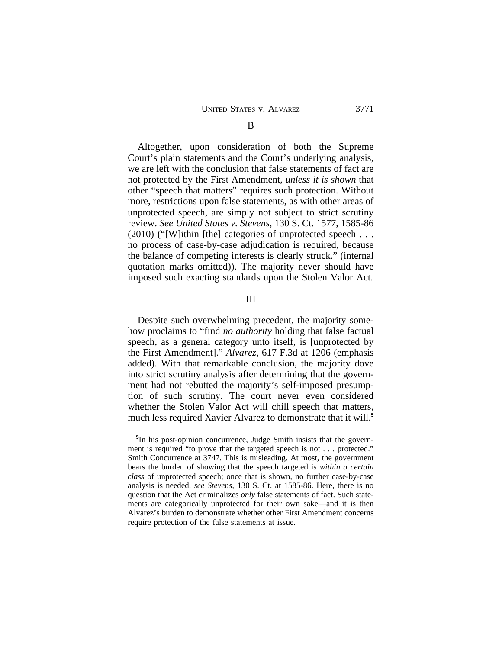Altogether, upon consideration of both the Supreme Court's plain statements and the Court's underlying analysis, we are left with the conclusion that false statements of fact are not protected by the First Amendment, *unless it is shown* that other "speech that matters" requires such protection. Without more, restrictions upon false statements, as with other areas of unprotected speech, are simply not subject to strict scrutiny review. *See United States v. Stevens*, 130 S. Ct. 1577, 1585-86 (2010) ("[W]ithin [the] categories of unprotected speech . . . no process of case-by-case adjudication is required, because the balance of competing interests is clearly struck." (internal quotation marks omitted)). The majority never should have imposed such exacting standards upon the Stolen Valor Act.

III

Despite such overwhelming precedent, the majority somehow proclaims to "find *no authority* holding that false factual speech, as a general category unto itself, is [unprotected by the First Amendment]." *Alvarez*, 617 F.3d at 1206 (emphasis added). With that remarkable conclusion, the majority dove into strict scrutiny analysis after determining that the government had not rebutted the majority's self-imposed presumption of such scrutiny. The court never even considered whether the Stolen Valor Act will chill speech that matters, much less required Xavier Alvarez to demonstrate that it will.**<sup>5</sup>**

**<sup>5</sup>** In his post-opinion concurrence, Judge Smith insists that the government is required "to prove that the targeted speech is not . . . protected." Smith Concurrence at 3747. This is misleading. At most, the government bears the burden of showing that the speech targeted is *within a certain class* of unprotected speech; once that is shown, no further case-by-case analysis is needed, *see Stevens*, 130 S. Ct. at 1585-86. Here, there is no question that the Act criminalizes *only* false statements of fact. Such statements are categorically unprotected for their own sake—and it is then Alvarez's burden to demonstrate whether other First Amendment concerns require protection of the false statements at issue.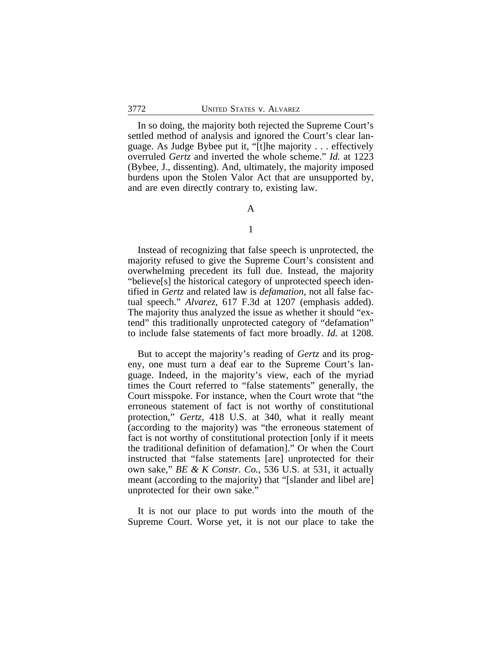In so doing, the majority both rejected the Supreme Court's settled method of analysis and ignored the Court's clear language. As Judge Bybee put it, "[t]he majority . . . effectively overruled *Gertz* and inverted the whole scheme." *Id.* at 1223 (Bybee, J., dissenting). And, ultimately, the majority imposed burdens upon the Stolen Valor Act that are unsupported by, and are even directly contrary to, existing law.

# A

## 1

Instead of recognizing that false speech is unprotected, the majority refused to give the Supreme Court's consistent and overwhelming precedent its full due. Instead, the majority "believe[s] the historical category of unprotected speech identified in *Gertz* and related law is *defamation*, not all false factual speech." *Alvarez*, 617 F.3d at 1207 (emphasis added). The majority thus analyzed the issue as whether it should "extend" this traditionally unprotected category of "defamation" to include false statements of fact more broadly. *Id.* at 1208*.*

But to accept the majority's reading of *Gertz* and its progeny, one must turn a deaf ear to the Supreme Court's language. Indeed, in the majority's view, each of the myriad times the Court referred to "false statements" generally, the Court misspoke. For instance, when the Court wrote that "the erroneous statement of fact is not worthy of constitutional protection," *Gertz*, 418 U.S. at 340, what it really meant (according to the majority) was "the erroneous statement of fact is not worthy of constitutional protection [only if it meets the traditional definition of defamation]." Or when the Court instructed that "false statements [are] unprotected for their own sake," *BE & K Constr. Co.*, 536 U.S. at 531, it actually meant (according to the majority) that "[slander and libel are] unprotected for their own sake."

It is not our place to put words into the mouth of the Supreme Court. Worse yet, it is not our place to take the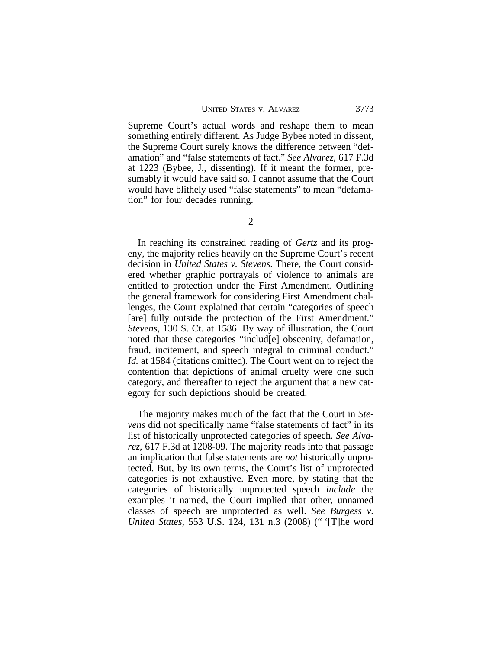UNITED STATES v. ALVAREZ 3773

Supreme Court's actual words and reshape them to mean something entirely different. As Judge Bybee noted in dissent, the Supreme Court surely knows the difference between "defamation" and "false statements of fact." *See Alvarez*, 617 F.3d at 1223 (Bybee, J., dissenting). If it meant the former, presumably it would have said so. I cannot assume that the Court would have blithely used "false statements" to mean "defamation" for four decades running.

In reaching its constrained reading of *Gertz* and its progeny, the majority relies heavily on the Supreme Court's recent decision in *United States v. Stevens*. There, the Court considered whether graphic portrayals of violence to animals are entitled to protection under the First Amendment. Outlining the general framework for considering First Amendment challenges, the Court explained that certain "categories of speech [are] fully outside the protection of the First Amendment." *Stevens*, 130 S. Ct. at 1586. By way of illustration, the Court noted that these categories "includ[e] obscenity, defamation, fraud, incitement, and speech integral to criminal conduct." *Id.* at 1584 (citations omitted). The Court went on to reject the contention that depictions of animal cruelty were one such category, and thereafter to reject the argument that a new category for such depictions should be created.

The majority makes much of the fact that the Court in *Stevens* did not specifically name "false statements of fact" in its list of historically unprotected categories of speech. *See Alvarez*, 617 F.3d at 1208-09. The majority reads into that passage an implication that false statements are *not* historically unprotected. But, by its own terms, the Court's list of unprotected categories is not exhaustive. Even more, by stating that the categories of historically unprotected speech *include* the examples it named, the Court implied that other, unnamed classes of speech are unprotected as well. *See Burgess v. United States*, 553 U.S. 124, 131 n.3 (2008) (" '[T]he word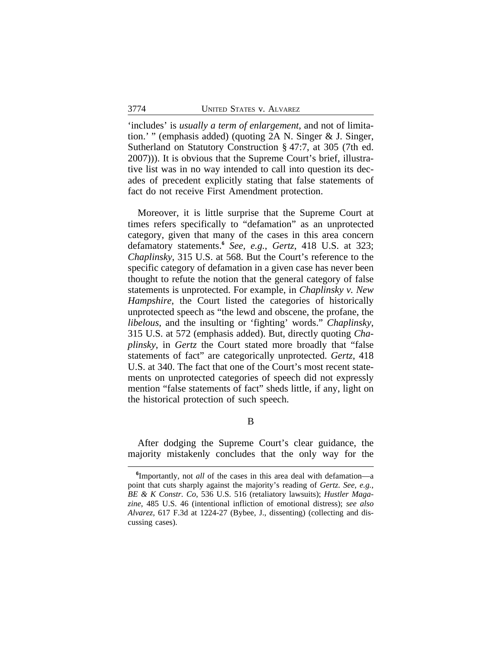'includes' is *usually a term of enlargement*, and not of limitation.' " (emphasis added) (quoting 2A N. Singer & J. Singer, Sutherland on Statutory Construction § 47:7, at 305 (7th ed. 2007))). It is obvious that the Supreme Court's brief, illustrative list was in no way intended to call into question its decades of precedent explicitly stating that false statements of fact do not receive First Amendment protection.

Moreover, it is little surprise that the Supreme Court at times refers specifically to "defamation" as an unprotected category, given that many of the cases in this area concern defamatory statements.**<sup>6</sup>** *See, e.g.*, *Gertz*, 418 U.S. at 323; *Chaplinsky*, 315 U.S. at 568. But the Court's reference to the specific category of defamation in a given case has never been thought to refute the notion that the general category of false statements is unprotected. For example, in *Chaplinsky v. New Hampshire*, the Court listed the categories of historically unprotected speech as "the lewd and obscene, the profane, the *libelous*, and the insulting or 'fighting' words." *Chaplinsky*, 315 U.S. at 572 (emphasis added). But, directly quoting *Chaplinsky*, in *Gertz* the Court stated more broadly that "false statements of fact" are categorically unprotected. *Gertz*, 418 U.S. at 340. The fact that one of the Court's most recent statements on unprotected categories of speech did not expressly mention "false statements of fact" sheds little, if any, light on the historical protection of such speech.

B

After dodging the Supreme Court's clear guidance, the majority mistakenly concludes that the only way for the

**<sup>6</sup>** Importantly, not *all* of the cases in this area deal with defamation—a point that cuts sharply against the majority's reading of *Gertz*. *See, e.g.*, *BE & K Constr. Co*, 536 U.S. 516 (retaliatory lawsuits); *Hustler Magazine*, 485 U.S. 46 (intentional infliction of emotional distress); *see also Alvarez*, 617 F.3d at 1224-27 (Bybee, J., dissenting) (collecting and discussing cases).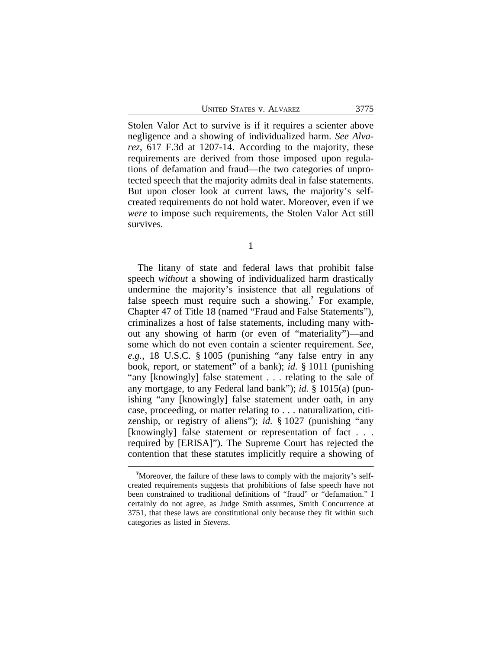UNITED STATES V. ALVAREZ 3775

Stolen Valor Act to survive is if it requires a scienter above negligence and a showing of individualized harm. *See Alvarez*, 617 F.3d at 1207-14. According to the majority, these requirements are derived from those imposed upon regulations of defamation and fraud—the two categories of unprotected speech that the majority admits deal in false statements. But upon closer look at current laws, the majority's selfcreated requirements do not hold water. Moreover, even if we *were* to impose such requirements, the Stolen Valor Act still survives.

1

The litany of state and federal laws that prohibit false speech *without* a showing of individualized harm drastically undermine the majority's insistence that all regulations of false speech must require such a showing.**<sup>7</sup>** For example, Chapter 47 of Title 18 (named "Fraud and False Statements"), criminalizes a host of false statements, including many without any showing of harm (or even of "materiality")—and some which do not even contain a scienter requirement. *See, e.g.*, 18 U.S.C. § 1005 (punishing "any false entry in any book, report, or statement" of a bank); *id.* § 1011 (punishing "any [knowingly] false statement . . . relating to the sale of any mortgage, to any Federal land bank"); *id.* § 1015(a) (punishing "any [knowingly] false statement under oath, in any case, proceeding, or matter relating to . . . naturalization, citizenship, or registry of aliens"); *id.* § 1027 (punishing "any [knowingly] false statement or representation of fact . . . required by [ERISA]"). The Supreme Court has rejected the contention that these statutes implicitly require a showing of

**<sup>7</sup>**Moreover, the failure of these laws to comply with the majority's selfcreated requirements suggests that prohibitions of false speech have not been constrained to traditional definitions of "fraud" or "defamation." I certainly do not agree, as Judge Smith assumes, Smith Concurrence at 3751, that these laws are constitutional only because they fit within such categories as listed in *Stevens*.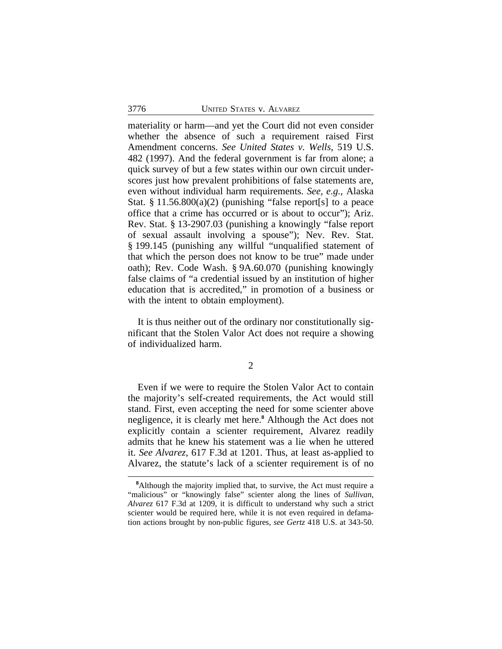materiality or harm—and yet the Court did not even consider whether the absence of such a requirement raised First Amendment concerns. *See United States v. Wells*, 519 U.S. 482 (1997). And the federal government is far from alone; a quick survey of but a few states within our own circuit underscores just how prevalent prohibitions of false statements are, even without individual harm requirements. *See, e.g.*, Alaska Stat.  $\S 11.56.800(a)(2)$  (punishing "false report[s] to a peace office that a crime has occurred or is about to occur"); Ariz. Rev. Stat. § 13-2907.03 (punishing a knowingly "false report of sexual assault involving a spouse"); Nev. Rev. Stat. § 199.145 (punishing any willful "unqualified statement of that which the person does not know to be true" made under oath); Rev. Code Wash. § 9A.60.070 (punishing knowingly false claims of "a credential issued by an institution of higher education that is accredited," in promotion of a business or with the intent to obtain employment).

It is thus neither out of the ordinary nor constitutionally significant that the Stolen Valor Act does not require a showing of individualized harm.

2

Even if we were to require the Stolen Valor Act to contain the majority's self-created requirements, the Act would still stand. First, even accepting the need for some scienter above negligence, it is clearly met here.**<sup>8</sup>** Although the Act does not explicitly contain a scienter requirement, Alvarez readily admits that he knew his statement was a lie when he uttered it. *See Alvarez*, 617 F.3d at 1201. Thus, at least as-applied to Alvarez, the statute's lack of a scienter requirement is of no

<sup>&</sup>lt;sup>8</sup>Although the majority implied that, to survive, the Act must require a "malicious" or "knowingly false" scienter along the lines of *Sullivan*, *Alvarez* 617 F.3d at 1209, it is difficult to understand why such a strict scienter would be required here, while it is not even required in defamation actions brought by non-public figures, *see Gertz* 418 U.S. at 343-50.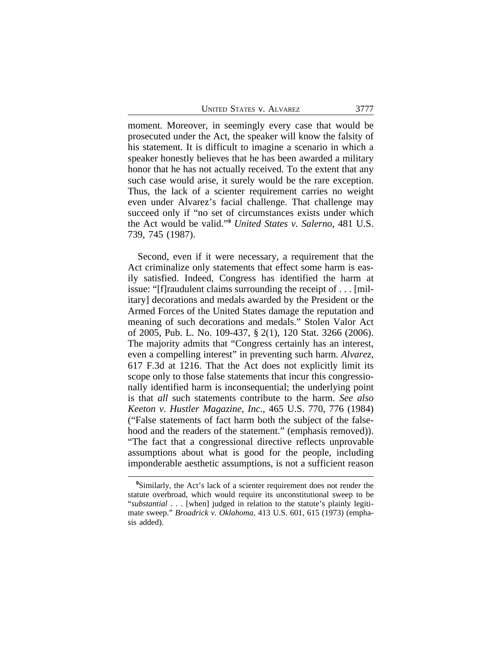moment. Moreover, in seemingly every case that would be prosecuted under the Act, the speaker will know the falsity of his statement. It is difficult to imagine a scenario in which a speaker honestly believes that he has been awarded a military honor that he has not actually received. To the extent that any such case would arise, it surely would be the rare exception. Thus, the lack of a scienter requirement carries no weight even under Alvarez's facial challenge. That challenge may succeed only if "no set of circumstances exists under which the Act would be valid." **<sup>9</sup>** *United States v. Salerno*, 481 U.S. 739, 745 (1987).

Second, even if it were necessary, a requirement that the Act criminalize only statements that effect some harm is easily satisfied. Indeed, Congress has identified the harm at issue: "[f]raudulent claims surrounding the receipt of . . . [military] decorations and medals awarded by the President or the Armed Forces of the United States damage the reputation and meaning of such decorations and medals." Stolen Valor Act of 2005, Pub. L. No. 109-437, § 2(1), 120 Stat. 3266 (2006). The majority admits that "Congress certainly has an interest, even a compelling interest" in preventing such harm. *Alvarez*, 617 F.3d at 1216. That the Act does not explicitly limit its scope only to those false statements that incur this congressionally identified harm is inconsequential; the underlying point is that *all* such statements contribute to the harm. *See also Keeton v. Hustler Magazine, Inc.*, 465 U.S. 770, 776 (1984) ("False statements of fact harm both the subject of the falsehood and the readers of the statement." (emphasis removed)). "The fact that a congressional directive reflects unprovable assumptions about what is good for the people, including imponderable aesthetic assumptions, is not a sufficient reason

<sup>&</sup>lt;sup>9</sup>Similarly, the Act's lack of a scienter requirement does not render the statute overbroad, which would require its unconstitutional sweep to be "*substantial* . . . [when] judged in relation to the statute's plainly legitimate sweep." *Broadrick v. Oklahoma*, 413 U.S. 601, 615 (1973) (emphasis added).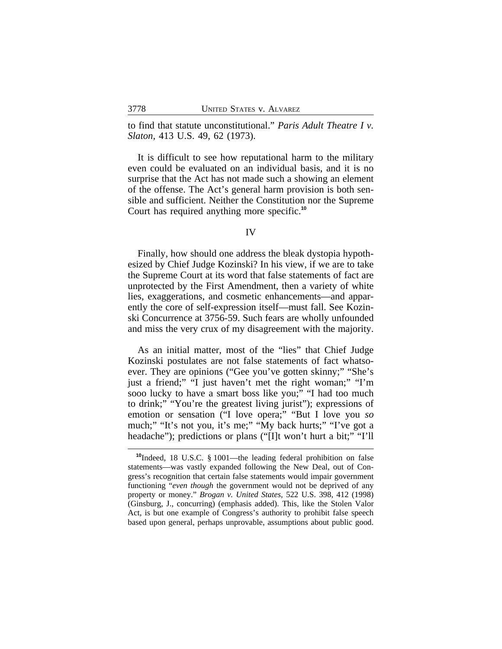to find that statute unconstitutional." *Paris Adult Theatre I v. Slaton*, 413 U.S. 49, 62 (1973).

It is difficult to see how reputational harm to the military even could be evaluated on an individual basis, and it is no surprise that the Act has not made such a showing an element of the offense. The Act's general harm provision is both sensible and sufficient. Neither the Constitution nor the Supreme Court has required anything more specific.**<sup>10</sup>**

#### IV

Finally, how should one address the bleak dystopia hypothesized by Chief Judge Kozinski? In his view, if we are to take the Supreme Court at its word that false statements of fact are unprotected by the First Amendment, then a variety of white lies, exaggerations, and cosmetic enhancements—and apparently the core of self-expression itself—must fall. See Kozinski Concurrence at 3756-59. Such fears are wholly unfounded and miss the very crux of my disagreement with the majority.

As an initial matter, most of the "lies" that Chief Judge Kozinski postulates are not false statements of fact whatsoever. They are opinions ("Gee you've gotten skinny;" "She's just a friend;" "I just haven't met the right woman;" "I'm sooo lucky to have a smart boss like you;" "I had too much to drink;" "You're the greatest living jurist"); expressions of emotion or sensation ("I love opera;" "But I love you *so* much;" "It's not you, it's me;" "My back hurts;" "I've got a headache"); predictions or plans ("[I]t won't hurt a bit;" "I'll

**<sup>10</sup>**Indeed, 18 U.S.C. § 1001—the leading federal prohibition on false statements—was vastly expanded following the New Deal, out of Congress's recognition that certain false statements would impair government functioning "*even though* the government would not be deprived of any property or money." *Brogan v. United States*, 522 U.S. 398, 412 (1998) (Ginsburg, J., concurring) (emphasis added). This, like the Stolen Valor Act, is but one example of Congress's authority to prohibit false speech based upon general, perhaps unprovable, assumptions about public good.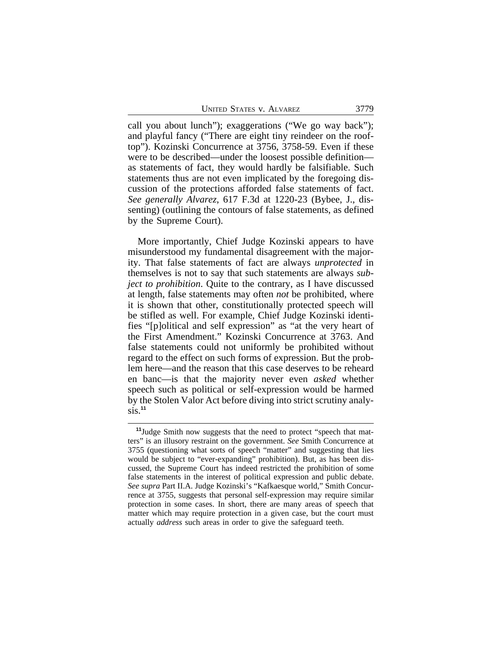UNITED STATES v. ALVAREZ 3779

call you about lunch"); exaggerations ("We go way back"); and playful fancy ("There are eight tiny reindeer on the rooftop"). Kozinski Concurrence at 3756, 3758-59. Even if these were to be described—under the loosest possible definition as statements of fact, they would hardly be falsifiable. Such statements thus are not even implicated by the foregoing discussion of the protections afforded false statements of fact. *See generally Alvarez*, 617 F.3d at 1220-23 (Bybee, J., dissenting) (outlining the contours of false statements, as defined by the Supreme Court).

More importantly, Chief Judge Kozinski appears to have misunderstood my fundamental disagreement with the majority. That false statements of fact are always *unprotected* in themselves is not to say that such statements are always *subject to prohibition*. Quite to the contrary, as I have discussed at length, false statements may often *not* be prohibited, where it is shown that other, constitutionally protected speech will be stifled as well. For example, Chief Judge Kozinski identifies "[p]olitical and self expression" as "at the very heart of the First Amendment." Kozinski Concurrence at 3763. And false statements could not uniformly be prohibited without regard to the effect on such forms of expression. But the problem here—and the reason that this case deserves to be reheard en banc—is that the majority never even *asked* whether speech such as political or self-expression would be harmed by the Stolen Valor Act before diving into strict scrutiny analysis.**<sup>11</sup>**

**<sup>11</sup>**Judge Smith now suggests that the need to protect "speech that matters" is an illusory restraint on the government. *See* Smith Concurrence at 3755 (questioning what sorts of speech "matter" and suggesting that lies would be subject to "ever-expanding" prohibition). But, as has been discussed, the Supreme Court has indeed restricted the prohibition of some false statements in the interest of political expression and public debate. *See supra* Part II.A. Judge Kozinski's "Kafkaesque world," Smith Concurrence at 3755, suggests that personal self-expression may require similar protection in some cases. In short, there are many areas of speech that matter which may require protection in a given case, but the court must actually *address* such areas in order to give the safeguard teeth.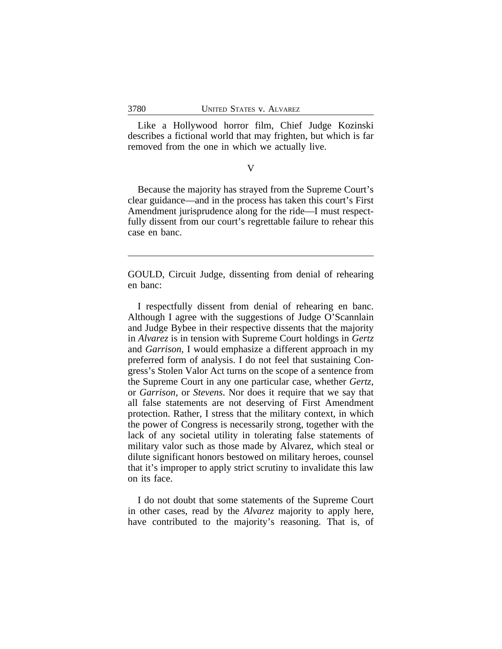Like a Hollywood horror film, Chief Judge Kozinski describes a fictional world that may frighten, but which is far removed from the one in which we actually live.

#### V

Because the majority has strayed from the Supreme Court's clear guidance—and in the process has taken this court's First Amendment jurisprudence along for the ride—I must respectfully dissent from our court's regrettable failure to rehear this case en banc.

GOULD, Circuit Judge, dissenting from denial of rehearing en banc:

I respectfully dissent from denial of rehearing en banc. Although I agree with the suggestions of Judge O'Scannlain and Judge Bybee in their respective dissents that the majority in *Alvarez* is in tension with Supreme Court holdings in *Gertz* and *Garrison,* I would emphasize a different approach in my preferred form of analysis. I do not feel that sustaining Congress's Stolen Valor Act turns on the scope of a sentence from the Supreme Court in any one particular case, whether *Gertz*, or *Garrison*, or *Stevens*. Nor does it require that we say that all false statements are not deserving of First Amendment protection. Rather, I stress that the military context, in which the power of Congress is necessarily strong, together with the lack of any societal utility in tolerating false statements of military valor such as those made by Alvarez, which steal or dilute significant honors bestowed on military heroes, counsel that it's improper to apply strict scrutiny to invalidate this law on its face.

I do not doubt that some statements of the Supreme Court in other cases, read by the *Alvarez* majority to apply here, have contributed to the majority's reasoning. That is, of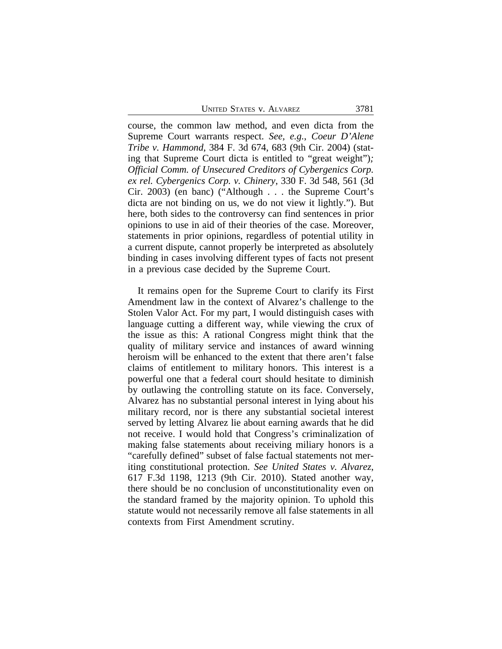UNITED STATES V. ALVAREZ 3781

course, the common law method, and even dicta from the Supreme Court warrants respect. *See, e.g.*, *Coeur D'Alene Tribe v. Hammond*, 384 F. 3d 674, 683 (9th Cir. 2004) (stating that Supreme Court dicta is entitled to "great weight")*; Official Comm. of Unsecured Creditors of Cybergenics Corp. ex rel. Cybergenics Corp. v. Chinery*, 330 F. 3d 548, 561 (3d Cir. 2003) (en banc) ("Although . . . the Supreme Court's dicta are not binding on us, we do not view it lightly."). But here, both sides to the controversy can find sentences in prior opinions to use in aid of their theories of the case. Moreover, statements in prior opinions, regardless of potential utility in a current dispute, cannot properly be interpreted as absolutely binding in cases involving different types of facts not present in a previous case decided by the Supreme Court.

It remains open for the Supreme Court to clarify its First Amendment law in the context of Alvarez's challenge to the Stolen Valor Act. For my part, I would distinguish cases with language cutting a different way, while viewing the crux of the issue as this: A rational Congress might think that the quality of military service and instances of award winning heroism will be enhanced to the extent that there aren't false claims of entitlement to military honors. This interest is a powerful one that a federal court should hesitate to diminish by outlawing the controlling statute on its face. Conversely, Alvarez has no substantial personal interest in lying about his military record, nor is there any substantial societal interest served by letting Alvarez lie about earning awards that he did not receive. I would hold that Congress's criminalization of making false statements about receiving miliary honors is a "carefully defined" subset of false factual statements not meriting constitutional protection. *See United States v. Alvarez*, 617 F.3d 1198, 1213 (9th Cir. 2010). Stated another way, there should be no conclusion of unconstitutionality even on the standard framed by the majority opinion. To uphold this statute would not necessarily remove all false statements in all contexts from First Amendment scrutiny.